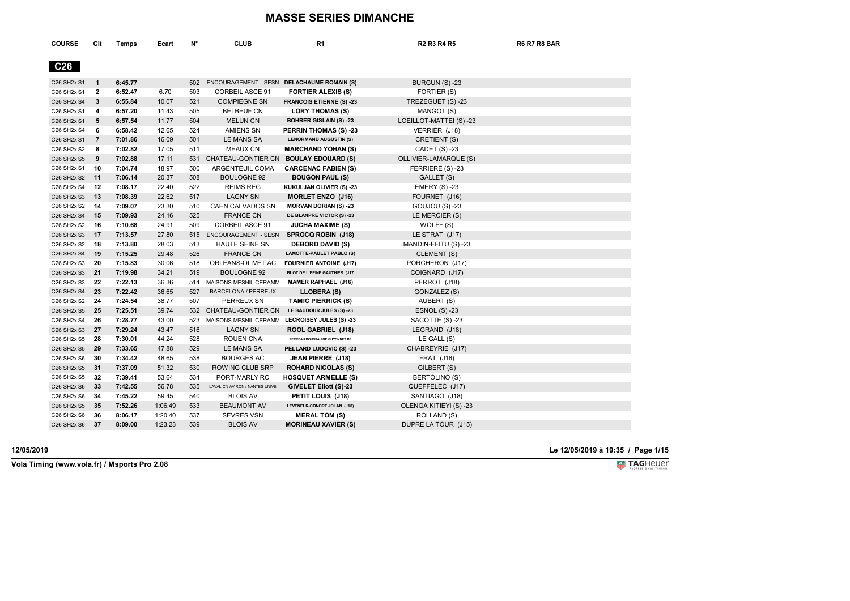| <b>COURSE</b>   | Clt            | Temps   | Ecart   | N°  | <b>CLUB</b>                    | R1                                         | <b>R2 R3 R4 R5</b>      | <b>R6 R7 R8 BAR</b> |
|-----------------|----------------|---------|---------|-----|--------------------------------|--------------------------------------------|-------------------------|---------------------|
|                 |                |         |         |     |                                |                                            |                         |                     |
| C <sub>26</sub> |                |         |         |     |                                |                                            |                         |                     |
| C26 SH2x S1     | $\mathbf 1$    | 6:45.77 |         | 502 |                                | ENCOURAGEMENT - SESN DELACHAUME ROMAIN (S) | BURGUN (S) -23          |                     |
| C26 SH2x S1     | $\mathbf{2}$   | 6:52.47 | 6.70    | 503 | <b>CORBEIL ASCE 91</b>         | <b>FORTIER ALEXIS (S)</b>                  | FORTIER (S)             |                     |
| C26 SH2x S4     | 3              | 6:55.84 | 10.07   | 521 | <b>COMPIEGNE SN</b>            | <b>FRANCOIS ETIENNE (S) -23</b>            | TREZEGUET (S)-23        |                     |
| C26 SH2x S1     | 4              | 6:57.20 | 11.43   | 505 | <b>BELBEUF CN</b>              | <b>LORY THOMAS (S)</b>                     | MANGOT (S)              |                     |
| C26 SH2x S1     | 5              | 6:57.54 | 11.77   | 504 | <b>MELUN CN</b>                | <b>BOHRER GISLAIN (S) -23</b>              | LOEILLOT-MATTEI (S) -23 |                     |
| C26 SH2x S4     | 6              | 6:58.42 | 12.65   | 524 | <b>AMIENS SN</b>               | <b>PERRIN THOMAS (S) -23</b>               | VERRIER (J18)           |                     |
| C26 SH2x S1     | $\overline{7}$ | 7:01.86 | 16.09   | 501 | LE MANS SA                     | <b>LENORMAND AUGUSTIN (S)</b>              | CRETIENT (S)            |                     |
| C26 SH2x S2     | -8             | 7:02.82 | 17.05   | 511 | <b>MEAUX CN</b>                | <b>MARCHAND YOHAN (S)</b>                  | CADET (S) -23           |                     |
| C26 SH2x S5     | 9              | 7:02.88 | 17.11   | 531 | CHATEAU-GONTIER CN             | <b>BOULAY EDOUARD (S)</b>                  | OLLIVIER-LAMARQUE (S)   |                     |
| C26 SH2x S1     | 10             | 7:04.74 | 18.97   | 500 | ARGENTEUIL COMA                | <b>CARCENAC FABIEN (S)</b>                 | FERRIERE (S) -23        |                     |
| C26 SH2x S2     | 11             | 7:06.14 | 20.37   | 508 | <b>BOULOGNE 92</b>             | <b>BOUGON PAUL (S)</b>                     | GALLET (S)              |                     |
| C26 SH2x S4     | 12             | 7:08.17 | 22.40   | 522 | <b>REIMS REG</b>               | <b>KUKULJAN OLIVIER (S) -23</b>            | <b>EMERY (S) -23</b>    |                     |
| C26 SH2x S3     | 13             | 7:08.39 | 22.62   | 517 | <b>LAGNY SN</b>                | <b>MORLET ENZO (J16)</b>                   | FOURNET (J16)           |                     |
| C26 SH2x S2     | -14            | 7:09.07 | 23.30   | 510 | CAEN CALVADOS SN               | <b>MORVAN DORIAN (S) -23</b>               | GOUJOU (S) -23          |                     |
| C26 SH2x S4     | 15             | 7:09.93 | 24.16   | 525 | <b>FRANCE CN</b>               | DE BLANPRE VICTOR (S) -23                  | LE MERCIER (S)          |                     |
| C26 SH2x S2     | 16             | 7:10.68 | 24.91   | 509 | <b>CORBEIL ASCE 91</b>         | <b>JUCHA MAXIME (S)</b>                    | WOLFF (S)               |                     |
| C26 SH2x S3     | 17             | 7:13.57 | 27.80   | 515 | <b>ENCOURAGEMENT - SESN</b>    | SPROCQ ROBIN (J18)                         | LE STRAT (J17)          |                     |
| C26 SH2x S2     | 18             | 7:13.80 | 28.03   | 513 | HAUTE SEINE SN                 | <b>DEBORD DAVID (S)</b>                    | MANDIN-FEITU (S) -23    |                     |
| C26 SH2x S4     | 19             | 7:15.25 | 29.48   | 526 | <b>FRANCE CN</b>               | <b>LAMOTTE-PAULET PABLO (S)</b>            | CLEMENT (S)             |                     |
| C26 SH2x S3     | 20             | 7:15.83 | 30.06   | 518 | ORLEANS-OLIVET AC              | <b>FOURNIER ANTOINE (J17)</b>              | PORCHERON (J17)         |                     |
| C26 SH2x S3     | 21             | 7:19.98 | 34.21   | 519 | <b>BOULOGNE 92</b>             | <b>BUOT DE L'EPINE GAUTHIER (J17</b>       | COIGNARD (J17)          |                     |
| C26 SH2x S3     | 22             | 7:22.13 | 36.36   | 514 | MAISONS MESNIL CERAMM          | <b>MAMER RAPHAEL (J16)</b>                 | PERROT (J18)            |                     |
| C26 SH2x S4     | 23             | 7:22.42 | 36.65   | 527 | <b>BARCELONA / PERREUX</b>     | LLOBERA (S)                                | GONZALEZ (S)            |                     |
| C26 SH2x S2     | 24             | 7:24.54 | 38.77   | 507 | PERREUX SN                     | <b>TAMIC PIERRICK (S)</b>                  | AUBERT (S)              |                     |
| C26 SH2x S5     | 25             | 7:25.51 | 39.74   | 532 | CHATEAU-GONTIER CN             | LE BAUDOUR JULES (S) -23                   | <b>ESNOL (S) -23</b>    |                     |
| C26 SH2x S4     | 26             | 7:28.77 | 43.00   | 523 | MAISONS MESNIL CERAMM          | <b>LECROISEY JULES (S) -23</b>             | SACOTTE (S) -23         |                     |
| C26 SH2x S3     | 27             | 7:29.24 | 43.47   | 516 | <b>LAGNY SN</b>                | ROOL GABRIEL (J18)                         | LEGRAND (J18)           |                     |
| C26 SH2x S5     | -28            | 7:30.01 | 44.24   | 528 | ROUEN CNA                      | PERREAU DOUSSAU DE GUYONNET BE             | LE GALL (S)             |                     |
| C26 SH2x S5     | 29             | 7:33.65 | 47.88   | 529 | LE MANS SA                     | PELLARD LUDOVIC (S) -23                    | CHABREYRIE (J17)        |                     |
| C26 SH2x S6     | 30             | 7:34.42 | 48.65   | 538 | <b>BOURGES AC</b>              | <b>JEAN PIERRE (J18)</b>                   | <b>FRAT (J16)</b>       |                     |
| C26 SH2x S5     | 31             | 7:37.09 | 51.32   | 530 | ROWING CLUB SRP                | <b>ROHARD NICOLAS (S)</b>                  | GILBERT (S)             |                     |
| C26 SH2x S5     | 32             | 7:39.41 | 53.64   | 534 | PORT-MARLY RC                  | <b>HOSQUET ARMELLE (S)</b>                 | BERTOLINO (S)           |                     |
| C26 SH2x S6     | 33             | 7:42.55 | 56.78   | 535 | LAVAL CN AVIRON / NANTES UNIVE | <b>GIVELET Eliott (S)-23</b>               | QUEFFELEC (J17)         |                     |
| C26 SH2x S6     | 34             | 7:45.22 | 59.45   | 540 | <b>BLOIS AV</b>                | PETIT LOUIS (J18)                          | SANTIAGO (J18)          |                     |
| C26 SH2x S5     | 35             | 7:52.26 | 1:06.49 | 533 | <b>BEAUMONT AV</b>             | LEVENEUR-CONORT JOLAN (J18)                | OLENGA KITIEYI (S) -23  |                     |
| C26 SH2x S6     | 36             | 8:06.17 | 1:20.40 | 537 | <b>SEVRES VSN</b>              | <b>MERAL TOM (S)</b>                       | ROLLAND (S)             |                     |
| C26 SH2x S6     | 37             | 8:09.00 | 1:23.23 | 539 | <b>BLOIS AV</b>                | <b>MORINEAU XAVIER (S)</b>                 | DUPRE LA TOUR (J15)     |                     |

**12/05/2019 Le 12/05/2019 à 19:35 / Page 1/15**

**Vola Timing (www.vola.fr) / Msports Pro 2.08**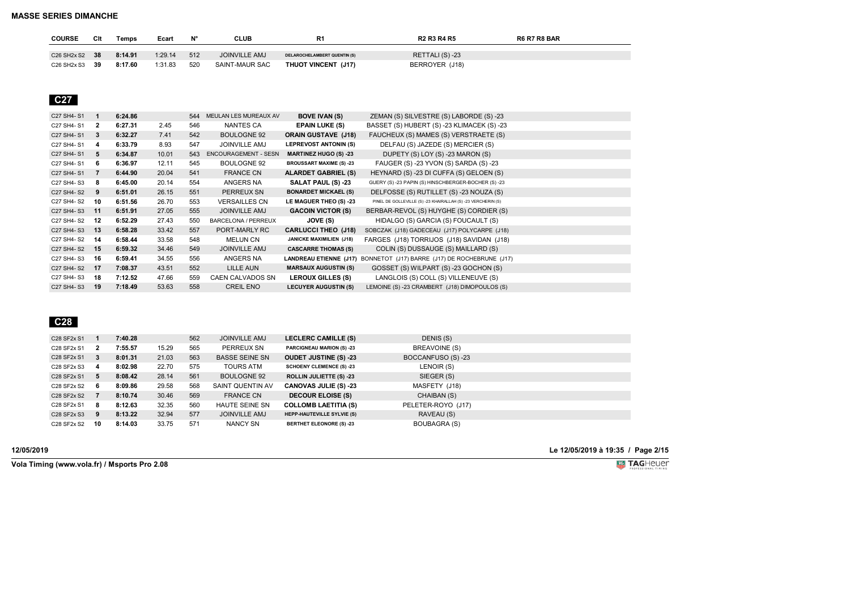| <b>COURSE</b>  | Clt | Temps   | Ecart   |     | CLUB                 | R1                                  | <b>R2 R3 R4 R5</b> | <b>R6 R7 R8 BAR</b> |  |
|----------------|-----|---------|---------|-----|----------------------|-------------------------------------|--------------------|---------------------|--|
|                |     |         |         |     |                      |                                     |                    |                     |  |
| C26 SH2x S2 38 |     | 8:14.91 | 1:29.14 | 512 | <b>JOINVILLE AMJ</b> | <b>DELAROCHELAMBERT QUENTIN (S)</b> | RETTALI (S) -23    |                     |  |
| C26 SH2x S3 39 |     | 8:17.60 | 1:31.83 | 520 | SAINT-MAUR SAC       | THUOT VINCENT (J17)                 | BERROYER (J18)     |                     |  |

| C27 SH4-S1 | 1              | 6:24.86 |       | 544 | MEULAN LES MUREAUX AV       | <b>BOVE IVAN (S)</b>            | ZEMAN (S) SILVESTRE (S) LABORDE (S) -23                               |
|------------|----------------|---------|-------|-----|-----------------------------|---------------------------------|-----------------------------------------------------------------------|
| C27 SH4-S1 | $\mathbf{2}$   | 6:27.31 | 2.45  | 546 | NANTES CA                   | <b>EPAIN LUKE (S)</b>           | BASSET (S) HUBERT (S) -23 KLIMACEK (S) -23                            |
| C27 SH4-S1 | 3              | 6:32.27 | 7.41  | 542 | <b>BOULOGNE 92</b>          | <b>ORAIN GUSTAVE (J18)</b>      | FAUCHEUX (S) MAMES (S) VERSTRAETE (S)                                 |
| C27 SH4-S1 | 4              | 6:33.79 | 8.93  | 547 | JOINVILLE AMJ               | <b>LEPREVOST ANTONIN (S)</b>    | DELFAU (S) JAZEDE (S) MERCIER (S)                                     |
| C27 SH4-S1 | 5              | 6:34.87 | 10.01 | 543 | <b>ENCOURAGEMENT - SESN</b> | <b>MARTINEZ HUGO (S) -23</b>    | DUPETY (S) LOY (S) -23 MARON (S)                                      |
| C27 SH4-S1 | 6              | 6:36.97 | 12.11 | 545 | <b>BOULOGNE 92</b>          | <b>BROUSSART MAXIME (S) -23</b> | FAUGER (S) -23 YVON (S) SARDA (S) -23                                 |
| C27 SH4-S1 | $\overline{7}$ | 6:44.90 | 20.04 | 541 | <b>FRANCE CN</b>            | <b>ALARDET GABRIEL (S)</b>      | HEYNARD (S) -23 DI CUFFA (S) GELOEN (S)                               |
| C27 SH4-S3 | 8              | 6:45.00 | 20.14 | 554 | ANGERS NA                   | SALAT PAUL (S) -23              | GUERY (S) -23 PAPIN (S) HINSCHBERGER-BOCHER (S) -23                   |
| C27 SH4-S2 | 9              | 6:51.01 | 26.15 | 551 | PERREUX SN                  | <b>BONARDET MICKAEL (S)</b>     | DELFOSSE (S) RUTILLET (S) -23 NOUZA (S)                               |
| C27 SH4-S2 | 10             | 6:51.56 | 26.70 | 553 | <b>VERSAILLES CN</b>        | LE MAGUER THEO (S) -23          | PINEL DE GOLLEVILLE (S) -23 KHAIRALLAH (S) -23 VERCHERIN (S)          |
| C27 SH4-S3 | 11             | 6:51.91 | 27.05 | 555 | <b>JOINVILLE AMJ</b>        | <b>GACOIN VICTOR (S)</b>        | BERBAR-REVOL (S) HUYGHE (S) CORDIER (S)                               |
| C27 SH4-S2 | 12             | 6:52.29 | 27.43 | 550 | BARCELONA / PERREUX         | JOVE (S)                        | HIDALGO (S) GARCIA (S) FOUCAULT (S)                                   |
| C27 SH4-S3 | 13             | 6:58.28 | 33.42 | 557 | PORT-MARLY RC               | <b>CARLUCCI THEO (J18)</b>      | SOBCZAK (J18) GADECEAU (J17) POLYCARPE (J18)                          |
| C27 SH4-S2 | 14             | 6:58.44 | 33.58 | 548 | <b>MELUN CN</b>             | <b>JANICKE MAXIMILIEN (J18)</b> | FARGES (J18) TORRIJOS (J18) SAVIDAN (J18)                             |
| C27 SH4-S2 | 15             | 6:59.32 | 34.46 | 549 | <b>JOINVILLE AMJ</b>        | <b>CASCARRE THOMAS (S)</b>      | COLIN (S) DUSSAUGE (S) MAILLARD (S)                                   |
| C27 SH4-S3 | 16             | 6:59.41 | 34.55 | 556 | ANGERS NA                   |                                 | LANDREAU ETIENNE (J17) BONNETOT (J17) BARRE (J17) DE ROCHEBRUNE (J17) |
| C27 SH4-S2 | -17            | 7:08.37 | 43.51 | 552 | LILLE AUN                   | <b>MARSAUX AUGUSTIN (S)</b>     | GOSSET (S) WILPART (S) -23 GOCHON (S)                                 |
| C27 SH4-S3 | 18             | 7:12.52 | 47.66 | 559 | CAEN CALVADOS SN            | <b>LEROUX GILLES (S)</b>        | LANGLOIS (S) COLL (S) VILLENEUVE (S)                                  |
| C27 SH4-S3 | 19             | 7:18.49 | 53.63 | 558 | <b>CREIL ENO</b>            | <b>LECUYER AUGUSTIN (S)</b>     | LEMOINE (S) -23 CRAMBERT (J18) DIMOPOULOS (S)                         |

 **C28** 

| C28 SF2x S1 |                | 7:40.28 |       | 562 | <b>JOINVILLE AMJ</b>  | <b>LECLERC CAMILLE (S)</b>        | DENIS (S)           |
|-------------|----------------|---------|-------|-----|-----------------------|-----------------------------------|---------------------|
| C28 SF2x S1 | $\overline{2}$ | 7:55.57 | 15.29 | 565 | PERREUX SN            | PARCIGNEAU MARION (S) -23         | BREAVOINE (S)       |
| C28 SF2x S1 | 3              | 8:01.31 | 21.03 | 563 | <b>BASSE SEINE SN</b> | <b>OUDET JUSTINE (S) -23</b>      | BOCCANFUSO (S) -23  |
| C28 SF2x S3 | 4              | 8:02.98 | 22.70 | 575 | <b>TOURS ATM</b>      | <b>SCHOENY CLEMENCE (S) -23</b>   | LENOIR (S)          |
| C28 SF2x S1 | 5              | 8:08.42 | 28.14 | 561 | <b>BOULOGNE 92</b>    | <b>ROLLIN JULIETTE (S) -23</b>    | SIEGER (S)          |
| C28 SF2x S2 | 6              | 8:09.86 | 29.58 | 568 | SAINT QUENTIN AV      | <b>CANOVAS JULIE (S) -23</b>      | MASFETY (J18)       |
| C28 SF2x S2 |                | 8:10.74 | 30.46 | 569 | <b>FRANCE CN</b>      | <b>DECOUR ELOISE (S)</b>          | CHAIBAN (S)         |
| C28 SF2x S1 | 8              | 8:12.63 | 32.35 | 560 | <b>HAUTE SEINE SN</b> | <b>COLLOMB LAETITIA (S)</b>       | PELETER-ROYO (J17)  |
| C28 SF2x S3 | 9              | 8:13.22 | 32.94 | 577 | <b>JOINVILLE AMJ</b>  | <b>HEPP-HAUTEVILLE SYLVIE (S)</b> | RAVEAU (S)          |
| C28 SF2x S2 | 10             | 8:14.03 | 33.75 | 571 | <b>NANCY SN</b>       | <b>BERTHET ELEONORE (S) -23</b>   | <b>BOUBAGRA (S)</b> |

**12/05/2019 Le 12/05/2019 à 19:35 / Page 2/15**

**Vola Timing (www.vola.fr) / Msports Pro 2.08**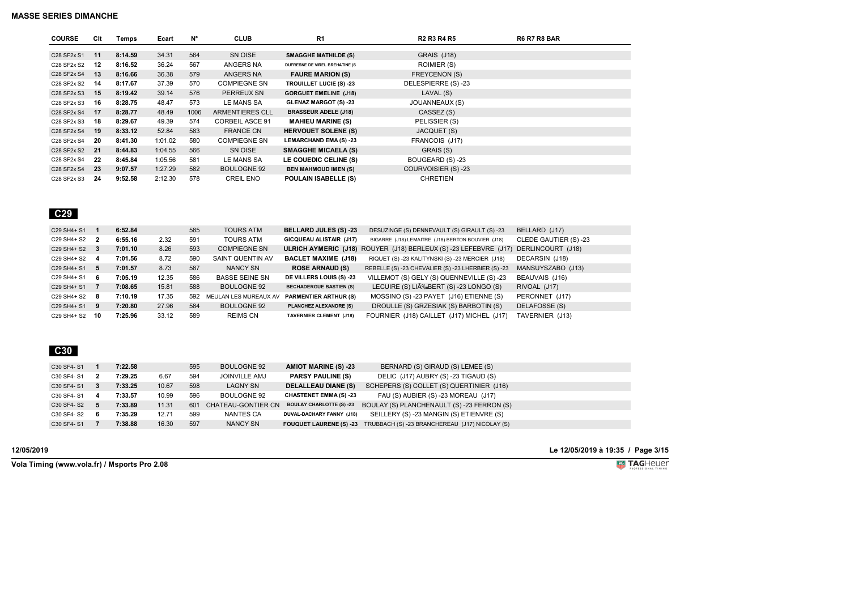| <b>COURSE</b> | Clt | Temps   | Ecart   | N°   | <b>CLUB</b>            | R <sub>1</sub>                 | <b>R2 R3 R4 R5</b>  | <b>R6 R7 R8 BAR</b> |  |
|---------------|-----|---------|---------|------|------------------------|--------------------------------|---------------------|---------------------|--|
|               |     |         |         |      |                        |                                |                     |                     |  |
| C28 SF2x S1   | 11  | 8:14.59 | 34.31   | 564  | SN OISE                | <b>SMAGGHE MATHILDE (S)</b>    | <b>GRAIS (J18)</b>  |                     |  |
| C28 SF2x S2   | 12  | 8:16.52 | 36.24   | 567  | ANGERS NA              | DUFRESNE DE VIREL BREHATINE (S | ROIMIER (S)         |                     |  |
| C28 SF2x S4   | 13  | 8:16.66 | 36.38   | 579  | ANGERS NA              | <b>FAURE MARION (S)</b>        | FREYCENON (S)       |                     |  |
| C28 SF2x S2   | 14  | 8:17.67 | 37.39   | 570  | COMPIEGNE SN           | <b>TROUILLET LUCIE (S) -23</b> | DELESPIERRE (S) -23 |                     |  |
| C28 SF2x S3   | 15  | 8:19.42 | 39.14   | 576  | PERREUX SN             | <b>GORGUET EMELINE (J18)</b>   | LAVAL (S)           |                     |  |
| C28 SF2x S3   | 16  | 8:28.75 | 48.47   | 573  | LE MANS SA             | <b>GLENAZ MARGOT (S) -23</b>   | JOUANNEAUX (S)      |                     |  |
| C28 SF2x S4   | 17  | 8:28.77 | 48.49   | 1006 | <b>ARMENTIERES CLL</b> | <b>BRASSEUR ADELE (J18)</b>    | CASSEZ (S)          |                     |  |
| C28 SF2x S3   | 18  | 8:29.67 | 49.39   | 574  | <b>CORBEIL ASCE 91</b> | <b>MAHIEU MARINE (S)</b>       | PELISSIER (S)       |                     |  |
| C28 SF2x S4   | 19  | 8:33.12 | 52.84   | 583  | <b>FRANCE CN</b>       | <b>HERVOUET SOLENE (S)</b>     | JACQUET (S)         |                     |  |
| C28 SF2x S4   | 20  | 8:41.30 | 1:01.02 | 580  | <b>COMPIEGNE SN</b>    | <b>LEMARCHAND EMA (S) -23</b>  | FRANCOIS (J17)      |                     |  |
| C28 SF2x S2   | 21  | 8:44.83 | 1:04.55 | 566  | SN OISE                | <b>SMAGGHE MICAELA (S)</b>     | GRAIS (S)           |                     |  |
| C28 SF2x S4   | 22  | 8:45.84 | 1:05.56 | 581  | LE MANS SA             | LE COUEDIC CELINE (S)          | BOUGEARD (S) -23    |                     |  |
| C28 SF2x S4   | 23  | 9:07.57 | 1:27.29 | 582  | <b>BOULOGNE 92</b>     | <b>BEN MAHMOUD IMEN (S)</b>    | COURVOISIER (S) -23 |                     |  |
| C28 SF2x S3   | 24  | 9:52.58 | 2:12.30 | 578  | <b>CREIL ENO</b>       | <b>POULAIN ISABELLE (S)</b>    | <b>CHRETIEN</b>     |                     |  |

| C29 SH4+ S1 |    | 6:52.84 |       | 585 | <b>TOURS ATM</b>      | <b>BELLARD JULES (S) -23</b>   | DESUZINGE (S) DENNEVAULT (S) GIRAULT (S) -23                     | BELLARD (J17)         |
|-------------|----|---------|-------|-----|-----------------------|--------------------------------|------------------------------------------------------------------|-----------------------|
| C29 SH4+ S2 | -2 | 6:55.16 | 2.32  | 591 | <b>TOURS ATM</b>      | GICQUEAU ALISTAIR (J17)        | BIGARRE (J18) LEMAITRE (J18) BERTON BOUVIER (J18)                | CLEDE GAUTIER (S) -23 |
| C29 SH4+ S2 | 3  | 7:01.10 | 8.26  | 593 | <b>COMPIEGNE SN</b>   |                                | ULRICH AYMERIC (J18) ROUYER (J18) BERLEUX (S) -23 LEFEBVRE (J17) | DERLINCOURT (J18)     |
| C29 SH4+ S2 | 4  | 7:01.56 | 8.72  | 590 | SAINT QUENTIN AV      | <b>BACLET MAXIME (J18)</b>     | RIQUET (S) -23 KALITYNSKI (S) -23 MERCIER (J18)                  | DECARSIN (J18)        |
| C29 SH4+ S1 | 5  | 7:01.57 | 8.73  | 587 | NANCY SN              | <b>ROSE ARNAUD (S)</b>         | REBELLE (S) -23 CHEVALIER (S) -23 LHERBIER (S) -23               | MANSUYSZABO (J13)     |
| C29 SH4+ S1 | 6  | 7:05.19 | 12.35 | 586 | <b>BASSE SEINE SN</b> | DE VILLERS LOUIS (S) -23       | VILLEMOT (S) GELY (S) QUENNEVILLE (S) -23                        | BEAUVAIS (J16)        |
| C29 SH4+ S1 |    | 7:08.65 | 15.81 | 588 | <b>BOULOGNE 92</b>    | <b>BECHADERGUE BASTIEN (S)</b> | LECUIRE (S) LIÉBERT (S) -23 LONGO (S)                            | RIVOAL (J17)          |
| C29 SH4+ S2 | 8  | 7:10.19 | 17.35 | 592 | MEULAN LES MUREAUX AV | <b>PARMENTIER ARTHUR (S)</b>   | MOSSINO (S) -23 PAYET (J16) ETIENNE (S)                          | PERONNET (J17)        |
| C29 SH4+ S1 | 9  | 7:20.80 | 27.96 | 584 | <b>BOULOGNE 92</b>    | PLANCHEZ ALEXANDRE (S)         | DROULLE (S) GRZESIAK (S) BARBOTIN (S)                            | DELAFOSSE (S)         |
| C29 SH4+ S2 | 10 | 7:25.96 | 33.12 | 589 | <b>REIMS CN</b>       | <b>TAVERNIER CLEMENT (J18)</b> | FOURNIER (J18) CAILLET (J17) MICHEL (J17)                        | TAVERNIER (J13)       |

 **C30** 

| C30 SF4-S1 | 7:22.58 |       | 595 | <b>BOULOGNE 92</b>   | <b>AMIOT MARINE (S) -23</b>     | BERNARD (S) GIRAUD (S) LEMEE (S)               |
|------------|---------|-------|-----|----------------------|---------------------------------|------------------------------------------------|
| C30 SF4-S1 | 7:29.25 | 6.67  | 594 | <b>JOINVILLE AMJ</b> | <b>PARSY PAULINE (S)</b>        | DELIC (J17) AUBRY (S) -23 TIGAUD (S)           |
| C30 SF4-S1 | 7:33.25 | 10.67 | 598 | <b>LAGNY SN</b>      | <b>DELALLEAU DIANE (S)</b>      | SCHEPERS (S) COLLET (S) QUERTINIER (J16)       |
| C30 SF4-S1 | 7:33.57 | 10.99 | 596 | BOULOGNE 92          | <b>CHASTENET EMMA (S) -23</b>   | FAU (S) AUBIER (S) -23 MOREAU (J17)            |
| C30 SF4-S2 | 7:33.89 | 11.31 | 601 | CHATEAU-GONTIER CN   | <b>BOULAY CHARLOTTE (S) -23</b> | BOULAY (S) PLANCHENAULT (S) -23 FERRON (S)     |
| C30 SF4-S2 | 7:35.29 | 12.71 | 599 | NANTES CA            | DUVAL-DACHARY FANNY (J18)       | SEILLERY (S) -23 MANGIN (S) ETIENVRE (S)       |
| C30 SF4-S1 | 7:38.88 | 16.30 | 597 | <b>NANCY SN</b>      | <b>FOUQUET LAURENE (S) -23</b>  | TRUBBACH (S) -23 BRANCHEREAU (J17) NICOLAY (S) |

**12/05/2019 Le 12/05/2019 à 19:35 / Page 3/15**

**Vola Timing (www.vola.fr) / Msports Pro 2.08**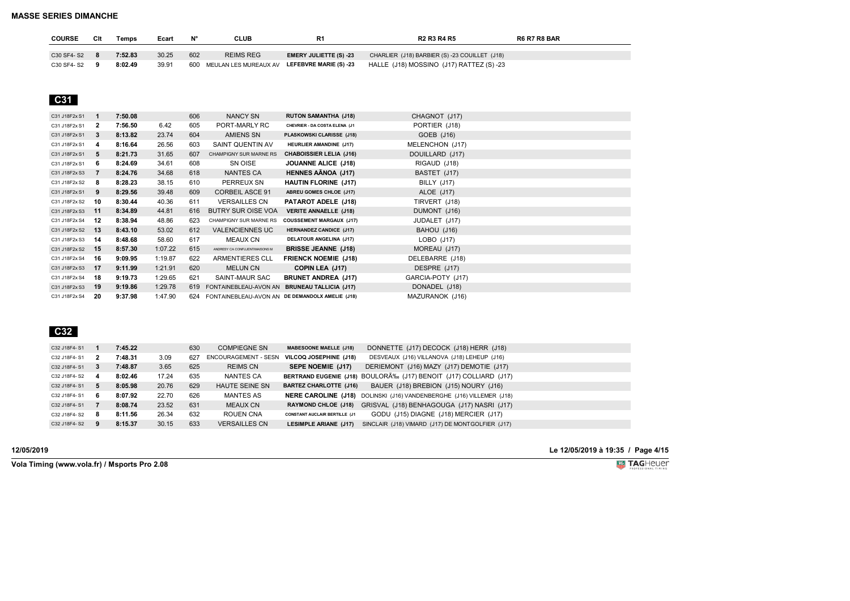| <b>COURSE</b> | Clt | Temps   | Ecart |     | CLUB                  | R1                            | <b>R2 R3 R4 R5</b>                            | <b>R6 R7 R8 BAR</b> |
|---------------|-----|---------|-------|-----|-----------------------|-------------------------------|-----------------------------------------------|---------------------|
|               |     |         |       |     |                       |                               |                                               |                     |
| C30 SF4-S2    |     | 7:52.83 | 30.25 | 602 | <b>REIMS REG</b>      | <b>EMERY JULIETTE (S) -23</b> | CHARLIER (J18) BARBIER (S) -23 COUILLET (J18) |                     |
| C30 SF4-S2    |     | 8:02.49 | 39.91 | 600 | MEULAN LES MUREAUX AV | <b>LEFEBVRE MARIE (S) -23</b> | HALLE (J18) MOSSINO (J17) RATTEZ (S) -23      |                     |

| C31 J18F2x S1 | $\mathbf{1}$ | 7:50.08 |         | 606 | NANCY SN                                            | <b>RUTON SAMANTHA (J18)</b>     | CHAGNOT (J17)     |
|---------------|--------------|---------|---------|-----|-----------------------------------------------------|---------------------------------|-------------------|
| C31 J18F2x S1 | 2            | 7:56.50 | 6.42    | 605 | PORT-MARLY RC                                       | CHEVRIER - DA COSTA ELENA (J1   | PORTIER (J18)     |
| C31 J18F2x S1 | 3            | 8:13.82 | 23.74   | 604 | <b>AMIENS SN</b>                                    | PLASKOWSKI CLARISSE (J18)       | GOEB (J16)        |
| C31 J18F2x S1 | 4            | 8:16.64 | 26.56   | 603 | SAINT QUENTIN AV                                    | <b>HEURLIER AMANDINE (J17)</b>  | MELENCHON (J17)   |
| C31 J18F2x S1 | 5            | 8:21.73 | 31.65   | 607 | CHAMPIGNY SUR MARNE RS                              | <b>CHABOISSIER LELIA (J16)</b>  | DOUILLARD (J17)   |
| C31 J18F2x S1 | 6            | 8:24.69 | 34.61   | 608 | SN OISE                                             | <b>JOUANNE ALICE (J18)</b>      | RIGAUD (J18)      |
| C31 J18F2x S3 | 7            | 8:24.76 | 34.68   | 618 | <b>NANTES CA</b>                                    | <b>HENNES AÃNOA (J17)</b>       | BASTET (J17)      |
| C31 J18F2x S2 | 8            | 8:28.23 | 38.15   | 610 | PERREUX SN                                          | <b>HAUTIN FLORINE (J17)</b>     | BILLY (J17)       |
| C31 J18F2x S1 | 9            | 8:29.56 | 39.48   | 609 | <b>CORBEIL ASCE 91</b>                              | <b>ABREU GOMES CHLOE (J17)</b>  | ALOE (J17)        |
| C31 J18F2x S2 | 10           | 8:30.44 | 40.36   | 611 | <b>VERSAILLES CN</b>                                | PATAROT ADELE (J18)             | TIRVERT (J18)     |
| C31 J18F2x S3 | 11           | 8:34.89 | 44.81   | 616 | BUTRY SUR OISE VOA                                  | <b>VERITE ANNAELLE (J18)</b>    | DUMONT (J16)      |
| C31 J18F2x S4 | 12           | 8:38.94 | 48.86   | 623 | CHAMPIGNY SUR MARNE RS                              | <b>COUSSEMENT MARGAUX (J17)</b> | JUDALET (J17)     |
| C31 J18F2x S2 | 13           | 8:43.10 | 53.02   | 612 | <b>VALENCIENNES UC</b>                              | <b>HERNANDEZ CANDICE (J17)</b>  | BAHOU (J16)       |
| C31 J18F2x S3 | 14           | 8:48.68 | 58.60   | 617 | <b>MEAUX CN</b>                                     | <b>DELATOUR ANGELINA (J17)</b>  | $LOBO$ $(J17)$    |
| C31 J18F2x S2 | 15           | 8:57.30 | 1:07.22 | 615 | ANDRESY CA CONFLUENT/MAISONS M                      | <b>BRISSE JEANNE (J18)</b>      | MOREAU (J17)      |
| C31 J18F2x S4 | 16           | 9:09.95 | 1:19.87 | 622 | <b>ARMENTIERES CLL</b>                              | <b>FRIENCK NOEMIE (J18)</b>     | DELEBARRE (J18)   |
| C31 J18F2x S3 | 17           | 9:11.99 | 1:21.91 | 620 | <b>MELUN CN</b>                                     | COPIN LEA (J17)                 | DESPRE (J17)      |
| C31 J18F2x S4 | 18           | 9:19.73 | 1:29.65 | 621 | SAINT-MAUR SAC                                      | <b>BRUNET ANDREA (J17)</b>      | GARCIA-POTY (J17) |
| C31 J18F2x S3 | 19           | 9:19.86 | 1:29.78 | 619 | FONTAINEBLEAU-AVON AN                               | <b>BRUNEAU TALLICIA (J17)</b>   | DONADEL (J18)     |
| C31 J18F2x S4 | 20           | 9:37.98 | 1:47.90 |     | 624 FONTAINEBLEAU-AVON AN DE DEMANDOLX AMELIE (J18) |                                 | MAZURANOK (J16)   |

# **C32**

| C32 J18F4-S1 |    | 7:45.22 |       | 630 | <b>COMPIEGNE SN</b>         | <b>MABESOONE MAELLE (J18)</b>        | DONNETTE (J17) DECOCK (J18) HERR (J18)                               |
|--------------|----|---------|-------|-----|-----------------------------|--------------------------------------|----------------------------------------------------------------------|
| C32 J18F4-S1 |    | 7:48.31 | 3.09  | 627 | <b>ENCOURAGEMENT - SESN</b> | VILCOQ JOSEPHINE (J18)               | DESVEAUX (J16) VILLANOVA (J18) LEHEUP (J16)                          |
| C32 J18F4-S1 | 3  | 7:48.87 | 3.65  | 625 | <b>REIMS CN</b>             | SEPE NOEMIE (J17)                    | DERIEMONT (J16) MAZY (J17) DEMOTIE (J17)                             |
| C32 J18F4-S2 | -4 | 8:02.46 | 17.24 | 635 | NANTES CA                   |                                      | BERTRAND EUGENIE (J18) BOULORÉ (J17) BENOIT (J17) COLLIARD (J17)     |
| C32 J18F4-S1 | 5  | 8:05.98 | 20.76 | 629 | <b>HAUTE SEINE SN</b>       | <b>BARTEZ CHARLOTTE (J16)</b>        | BAUER (J18) BREBION (J15) NOURY (J16)                                |
| C32 J18F4-S1 | -6 | 8:07.92 | 22.70 | 626 | <b>MANTES AS</b>            |                                      | NERE CAROLINE (J18) DOLINSKI (J16) VANDENBERGHE (J16) VILLEMER (J18) |
| C32 J18F4-S1 |    | 8:08.74 | 23.52 | 631 | <b>MEAUX CN</b>             | <b>RAYMOND CHLOE (J18)</b>           | GRISVAL (J18) BENHAGOUGA (J17) NASRI (J17)                           |
| C32 J18F4-S2 | -8 | 8:11.56 | 26.34 | 632 | ROUEN CNA                   | <b>CONSTANT AUCLAIR BERTILLE (J1</b> | GODU (J15) DIAGNE (J18) MERCIER (J17)                                |
| C32 J18F4-S2 | 9  | 8:15.37 | 30.15 | 633 | <b>VERSAILLES CN</b>        | <b>LESIMPLE ARIANE (J17)</b>         | SINCLAIR (J18) VIMARD (J17) DE MONTGOLFIER (J17)                     |

**12/05/2019 Le 12/05/2019 à 19:35 / Page 4/15**

**Vola Timing (www.vola.fr) / Msports Pro 2.08**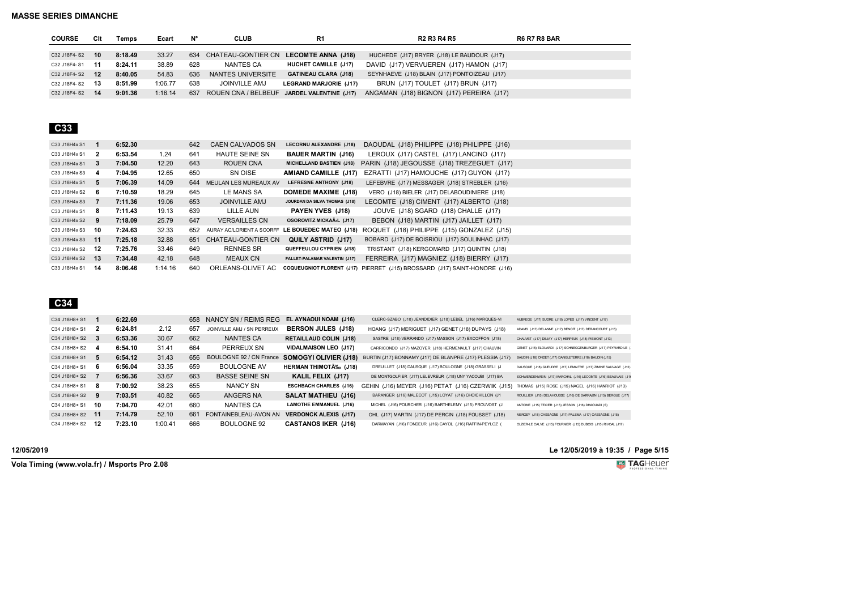| Clt               | Temps   | Ecart   | N°  | <b>CLUB</b>          | R1                          | R <sub>2</sub> R <sub>3</sub> R <sub>4</sub> R <sub>5</sub>                                                      | <b>R6 R7 R8 BAR</b> |
|-------------------|---------|---------|-----|----------------------|-----------------------------|------------------------------------------------------------------------------------------------------------------|---------------------|
|                   |         |         |     |                      |                             |                                                                                                                  |                     |
| 10                | 8:18.49 | 33.27   | 634 |                      |                             | HUCHEDE (J17) BRYER (J18) LE BAUDOUR (J17)                                                                       |                     |
| C32 J18F4-S1 11   | 8:24.11 | 38.89   | 628 | NANTES CA            | HUCHET CAMILLE (J17)        | DAVID (J17) VERVUEREN (J17) HAMON (J17)                                                                          |                     |
| $12 \overline{ }$ | 8:40.05 | 54.83   | 636 | NANTES UNIVERSITE    | <b>GATINEAU CLARA (J18)</b> | SEYNHAEVE (J18) BLAIN (J17) PONTOIZEAU (J17)                                                                     |                     |
| 13                | 8:51.99 | 1:06.77 | 638 | <b>JOINVILLE AMJ</b> |                             | BRUN (J17) TOULET (J17) BRUN (J17)                                                                               |                     |
| 14                | 9:01.36 | 1:16.14 | 637 |                      |                             | ANGAMAN (J18) BIGNON (J17) PEREIRA (J17)                                                                         |                     |
|                   |         |         |     |                      |                             | CHATEAU-GONTIER CN LECOMTE ANNA (J18)<br>LEGRAND MARJORIE (J17)<br>ROUEN CNA / BELBEUF<br>JARDEL VALENTINE (J17) |                     |

| C33 J18H4x S1 |                | 6:52.30 |         | 642 | <b>CAEN CALVADOS SN</b>   | LECORNU ALEXANDRE (J18)          | DAOUDAL (J18) PHILIPPE (J18) PHILIPPE (J16)     |
|---------------|----------------|---------|---------|-----|---------------------------|----------------------------------|-------------------------------------------------|
| C33 J18H4x S1 | $\overline{2}$ | 6:53.54 | 1.24    | 641 | <b>HAUTE SEINE SN</b>     | <b>BAUER MARTIN (J16)</b>        | LEROUX (J17) CASTEL (J17) LANCINO (J17)         |
| C33 J18H4x S1 | 3              | 7:04.50 | 12.20   | 643 | ROUEN CNA                 | <b>MICHELLAND BASTIEN (J18)</b>  | PARIN (J18) JEGOUSSE (J18) TREZEGUET (J17)      |
| C33 J18H4x S3 | 4              | 7:04.95 | 12.65   | 650 | SN OISE                   | AMIAND CAMILLE (J17)             | EZRATTI (J17) HAMOUCHE (J17) GUYON (J17)        |
| C33 J18H4x S1 | 5.             | 7:06.39 | 14.09   | 644 | MEULAN LES MUREAUX AV     | LEFRESNE ANTHONY (J18)           | LEFEBVRE (J17) MESSAGER (J18) STREBLER (J16)    |
| C33 J18H4x S2 | 6              | 7:10.59 | 18.29   | 645 | LE MANS SA                | <b>DOMEDE MAXIME (J18)</b>       | VERO (J18) BIELER (J17) DELABOUDINIERE (J18)    |
| C33 J18H4x S3 | 7              | 7:11.36 | 19.06   | 653 | <b>JOINVILLE AMJ</b>      | JOURDAN DA SILVA THOMAS (J18)    | LECOMTE (J18) CIMENT (J17) ALBERTO (J18)        |
| C33 J18H4x S1 | 8              | 7:11.43 | 19.13   | 639 | LILLE AUN                 | <b>PAYEN YVES (J18)</b>          | JOUVE (J18) SGARD (J18) CHALLE (J17)            |
| C33 J18H4x S2 | 9              | 7:18.09 | 25.79   | 647 | <b>VERSAILLES CN</b>      | OSOROVITZ MICKAÃ (L (J17)        | BEBON (J18) MARTIN (J17) JAILLET (J17)          |
| C33 J18H4x S3 | 10             | 7:24.63 | 32.33   | 652 | AURAY AC/LORIENT A SCORFF | LE BOUEDEC MATEO (J18)           | ROQUET (J18) PHILIPPE (J15) GONZALEZ (J15)      |
| C33 J18H4x S3 | 11             | 7:25.18 | 32.88   | 651 | <b>CHATEAU-GONTIER CN</b> | QUILY ASTRID (J17)               | BOBARD (J17) DE BOISRIOU (J17) SOULINHAC (J17)  |
| C33 J18H4x S2 | -12            | 7:25.76 | 33.46   | 649 | <b>RENNES SR</b>          | QUEFFEULOU CYPRIEN (J18)         | TRISTANT (J18) KERGOMARD (J17) QUINTIN (J18)    |
| C33 J18H4x S2 | 13             | 7:34.48 | 42.18   | 648 | <b>MEAUX CN</b>           | FALLET-PALAMAR VALENTIN (J17)    | FERREIRA (J17) MAGNIEZ (J18) BIERRY (J17)       |
| C33 J18H4x S1 | 14             | 8:06.46 | 1:14.16 | 640 | ORLEANS-OLIVET AC         | <b>COQUEUGNIOT FLORENT (J17)</b> | PIERRET (J15) BROSSARD (J17) SAINT-HONORE (J16) |

 **C34** 

| C34 J18H8+ S1 |      | 6:22.69 |         | 658 | NANCY SN / REIMS REG       | EL AYNAOUI NOAM (J16)         | CLERC-SZABO (J18) JEANDIDIER (J18) LEBEL (J16) MARQUES-VI | AUBREGE (J17) SUDRE (J18) LOPES (J17) VINCENT (J17)             |
|---------------|------|---------|---------|-----|----------------------------|-------------------------------|-----------------------------------------------------------|-----------------------------------------------------------------|
| C34 J18H8+ S1 | 2    | 6:24.81 | 2.12    | 657 | JOINVILLE AMJ / SN PERREUX | <b>BERSON JULES (J18)</b>     | HOANG (J17) MERIGUET (J17) GENET (J18) DUPAYS (J18)       | ADAMS (J17) DELANNE (J17) BENOIT (J17) DERANCOURT (J15)         |
| C34 J18H8+ S2 | -3   | 6:53.36 | 30.67   | 662 | NANTES CA                  | <b>RETAILLAUD COLIN (J18)</b> | SASTRE (J18) VERRANDO (J17) MASSON (J17) EXCOFFON (J18)   | CHAUVET (J17) DBJAY (J17) HERPEUX (J18) PIEMONT (J13)           |
| C34 J18H8+ S2 | 4    | 6:54.10 | 31.41   | 664 | PERREUX SN                 | <b>VIDALMAISON LEO (J17)</b>  | CARRICONDO (J17) MAZOYER (J18) HERMENAULT (J17) CHAUVIN   | GENET (J18) ELOUARDI (J17) SCHNEGGENBURGER (J17) PEYRARD LE (   |
| C34 J18H8+ S1 | 5    | 6:54.12 | 31.43   | 656 | BOULOGNE 92 / CN France    | <b>SOMOGYI OLIVIER (J18)</b>  | BURTIN (J17) BONNAMY (J17) DE BLANPRE (J17) PLESSIA (J17) | BAUDIN (J18) ONDET (J17) DANGLETERRE (J18) BAUDIN (J15)         |
| C34 J18H8+ S1 | 6    | 6:56.04 | 33.35   | 659 | <b>BOULOGNE AV</b>         | <b>HERMAN THIMOTÉ (J18)</b>   | DREUILLET (J18) DAUSQUE (J17) BOULOGNE (J18) GRASSELI (J  | DAUSQUE (J18) GUEUDRE (J17) LEMAITRE (J17) ZIMINE SAUVAGE (J12) |
| C34 J18H8+ S2 |      | 6:56.36 | 33.67   | 663 | <b>BASSE SEINE SN</b>      | KALIL FELIX (J17)             | DE MONTGOLFIER (J17) LELEVREUR (J18) UNY YACOUBI (J17) BA | SCHWENDENWEIN (J17) MARCHAL (J16) LECOMTE (J16) BEAUVAIS (J1    |
| C34 J18H8+ S1 | 8    | 7:00.92 | 38.23   | 655 | NANCY SN                   | <b>ESCHBACH CHARLES (J16)</b> | GEHIN (J16) MEYER (J16) PETAT<br>(J16) CZERWIK (J15)      | THOMAS (J15) ROSE (J15) NAGEL (J16) HANRIOT (J13)               |
| C34 J18H8+ S2 | 9    | 7:03.51 | 40.82   | 665 | ANGERS NA                  | <b>SALAT MATHIEU (J16)</b>    | BARANGER (J16) MALECOT (J15) LOYAT (J16) CHOICHILLON (J1  | ROUILLIER (J15) DELAHOUSSE (J16) DE SARRAZIN (J15) BERGUE (J17) |
| C34 J18H8+ S1 | -10  | 7:04.70 | 42.01   | 660 | NANTES CA                  | <b>LAMOTHE EMMANUEL (J16)</b> | MICHEL (J16) POURCHER (J16) BARTHELEMY (J15) PROUVOST (J  | ANTOINE (J15) TEXIER (J16) JESSON (J16) DHAOUADI (S)            |
| C34 J18H8+ S2 | - 11 | 7:14.79 | 52.10   | 661 | FONTAINEBLEAU-AVON AN      | <b>VERDONCK ALEXIS (J17)</b>  | OHL (J17) MARTIN (J17) DE PERCIN (J18) FOUSSET (J18)      | MERGEY (J18) CASSAGNE (J17) PALSMA (J17) CASSAGNE (J15)         |
| C34 J18H8+ S2 | -12  | 7:23.10 | 1:00.41 | 666 | BOULOGNE 92                | <b>CASTANOS IKER (J16)</b>    | DARMAYAN (J16) FONDEUR (J16) CAYOL (J16) RAFFIN-PEYLOZ (  | OLZIER-LE CALVE (J15) FOURNIER (J15) DUBOIS (J15) RIVOAL (J17)  |

**12/05/2019 Le 12/05/2019 à 19:35 / Page 5/15**

**Voltage TAGHeuer** 

**Vola Timing (www.vola.fr) / Msports Pro 2.08**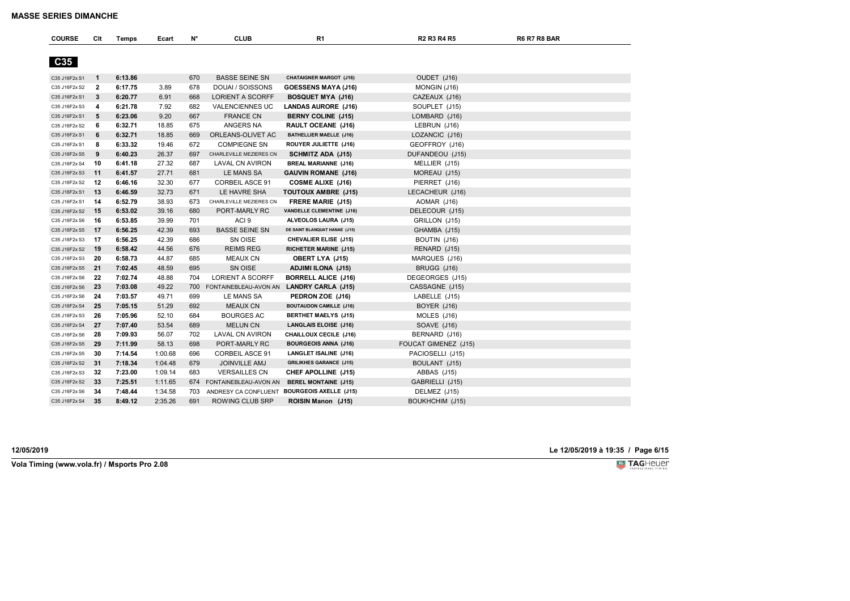| <b>MASSE SERIES DIMANCHE</b> |  |
|------------------------------|--|
|------------------------------|--|

| <b>COURSE</b>   | Clt            | Temps   | Ecart   | N°  | <b>CLUB</b>                                  | R <sub>1</sub>                   | <b>R2 R3 R4 R5</b>   | <b>R6 R7 R8 BAR</b> |  |
|-----------------|----------------|---------|---------|-----|----------------------------------------------|----------------------------------|----------------------|---------------------|--|
|                 |                |         |         |     |                                              |                                  |                      |                     |  |
| C <sub>35</sub> |                |         |         |     |                                              |                                  |                      |                     |  |
| C35 J16F2x S1   | $\mathbf{1}$   | 6:13.86 |         | 670 | <b>BASSE SEINE SN</b>                        | <b>CHATAIGNER MARGOT (J16)</b>   | OUDET (J16)          |                     |  |
| C35 J16F2x S2   | $\overline{2}$ | 6:17.75 | 3.89    | 678 | DOUAI / SOISSONS                             | <b>GOESSENS MAYA (J16)</b>       | MONGIN (J16)         |                     |  |
| C35 J16F2x S1   | 3              | 6:20.77 | 6.91    | 668 | <b>LORIENT A SCORFF</b>                      | <b>BOSQUET MYA (J16)</b>         | CAZEAUX (J16)        |                     |  |
| C35 J16F2x S3   | 4              | 6:21.78 | 7.92    | 682 | <b>VALENCIENNES UC</b>                       | LANDAS AURORE (J16)              | SOUPLET (J15)        |                     |  |
| C35 J16F2x S1   | 5              | 6:23.06 | 9.20    | 667 | <b>FRANCE CN</b>                             | <b>BERNY COLINE (J15)</b>        | LOMBARD (J16)        |                     |  |
| C35 J16F2x S2   | 6              | 6:32.71 | 18.85   | 675 | ANGERS NA                                    | <b>RAULT OCEANE (J16)</b>        | LEBRUN (J16)         |                     |  |
| C35 J16F2x S1   | 6              | 6:32.71 | 18.85   | 669 | ORLEANS-OLIVET AC                            | <b>BATHELLIER MAELLE (J16)</b>   | LOZANCIC (J16)       |                     |  |
| C35 J16F2x S1   | 8              | 6:33.32 | 19.46   | 672 | <b>COMPIEGNE SN</b>                          | ROUYER JULIETTE (J16)            | GEOFFROY (J16)       |                     |  |
| C35 J16F2x S5   | 9              | 6:40.23 | 26.37   | 697 | CHARLEVILLE MEZIERES CN                      | SCHMITZ ADA (J15)                | DUFANDEOU (J15)      |                     |  |
| C35 J16F2x S4   | 10             | 6:41.18 | 27.32   | 687 | LAVAL CN AVIRON                              | <b>BREAL MARIANNE (J16)</b>      | MELLIER (J15)        |                     |  |
| C35 J16F2x S3   | 11             | 6:41.57 | 27.71   | 681 | LE MANS SA                                   | <b>GAUVIN ROMANE (J16)</b>       | MOREAU (J15)         |                     |  |
| C35 J16F2x S2   | 12             | 6:46.16 | 32.30   | 677 | <b>CORBEIL ASCE 91</b>                       | <b>COSME ALIXE (J16)</b>         | PIERRET (J16)        |                     |  |
| C35 J16F2x S1   | 13             | 6:46.59 | 32.73   | 671 | LE HAVRE SHA                                 | <b>TOUTOUX AMBRE (J15)</b>       | LECACHEUR (J16)      |                     |  |
| C35 J16F2x S1   | 14             | 6:52.79 | 38.93   | 673 | CHARLEVILLE MEZIERES CN                      | <b>FRERE MARIE (J15)</b>         | AOMAR (J16)          |                     |  |
| C35 J16F2x S2   | 15             | 6:53.02 | 39.16   | 680 | PORT-MARLY RC                                | <b>VANDELLE CLEMENTINE (J16)</b> | DELECOUR (J15)       |                     |  |
| C35 J16F2x S6   | 16             | 6:53.85 | 39.99   | 701 | ACI <sub>9</sub>                             | ALVEOLOS LAURA (J15)             | GRILLON (J15)        |                     |  |
| C35 J16F2x S5   | 17             | 6:56.25 | 42.39   | 693 | <b>BASSE SEINE SN</b>                        | DE SAINT BLANQUAT HANAE (J15)    | GHAMBA (J15)         |                     |  |
| C35 J16F2x S3   | 17             | 6:56.25 | 42.39   | 686 | SN OISE                                      | <b>CHEVALIER ELISE (J15)</b>     | BOUTIN (J16)         |                     |  |
| C35 J16F2x S2   | 19             | 6:58.42 | 44.56   | 676 | <b>REIMS REG</b>                             | <b>RICHETER MARINE (J15)</b>     | RENARD (J15)         |                     |  |
| C35 J16F2x S3   | 20             | 6:58.73 | 44.87   | 685 | <b>MEAUX CN</b>                              | <b>OBERT LYA (J15)</b>           | MARQUES (J16)        |                     |  |
| C35 J16F2x S5   | 21             | 7:02.45 | 48.59   | 695 | SN OISE                                      | <b>ADJIMI ILONA (J15)</b>        | BRUGG (J16)          |                     |  |
| C35 J16F2x S6   | 22             | 7:02.74 | 48.88   | 704 | LORIENT A SCORFF                             | <b>BORRELL ALICE (J16)</b>       | DEGEORGES (J15)      |                     |  |
| C35 J16F2x S6   | 23             | 7:03.08 | 49.22   |     | 700 FONTAINEBLEAU-AVON AN LANDRY CARLA (J15) |                                  | CASSAGNE (J15)       |                     |  |
| C35 J16F2x S6   | 24             | 7:03.57 | 49.71   | 699 | LE MANS SA                                   | PEDRON ZOE (J16)                 | LABELLE (J15)        |                     |  |
| C35 J16F2x S4   | 25             | 7:05.15 | 51.29   | 692 | <b>MEAUX CN</b>                              | <b>BOUTAUDON CAMILLE (J16)</b>   | BOYER (J16)          |                     |  |
| C35 J16F2x S3   | 26             | 7:05.96 | 52.10   | 684 | BOURGES AC                                   | <b>BERTHET MAELYS (J15)</b>      | MOLES (J16)          |                     |  |
| C35 J16F2x S4   | 27             | 7:07.40 | 53.54   | 689 | <b>MELUN CN</b>                              | <b>LANGLAIS ELOISE (J16)</b>     | SOAVE (J16)          |                     |  |
| C35 J16F2x S6   | 28             | 7:09.93 | 56.07   | 702 | <b>LAVAL CN AVIRON</b>                       | CHAILLOUX CECILE (J16)           | BERNARD (J16)        |                     |  |
| C35 J16F2x S5   | 29             | 7:11.99 | 58.13   | 698 | PORT-MARLY RC                                | <b>BOURGEOIS ANNA (J16)</b>      | FOUCAT GIMENEZ (J15) |                     |  |
| C35 J16F2x S5   | 30             | 7:14.54 | 1:00.68 | 696 | <b>CORBEIL ASCE 91</b>                       | LANGLET ISALINE (J16)            | PACIOSELLI (J15)     |                     |  |
| C35 J16F2x S2   | 31             | 7:18.34 | 1:04.48 | 679 | <b>JOINVILLE AMJ</b>                         | <b>GRILIKHES GARANCE (J15)</b>   | BOULANT (J15)        |                     |  |
| C35 J16F2x S3   | 32             | 7:23.00 | 1:09.14 | 683 | <b>VERSAILLES CN</b>                         | CHEF APOLLINE (J15)              | ABBAS (J15)          |                     |  |
| C35 J16F2x S2   | 33             | 7:25.51 | 1:11.65 |     | 674 FONTAINEBLEAU-AVON AN                    | <b>BEREL MONTAINE (J15)</b>      | GABRIELLI (J15)      |                     |  |
| C35 J16F2x S6   | 34             | 7:48.44 | 1:34.58 | 703 | ANDRESY CA CONFLUENT BOURGEOIS AXELLE (J15)  |                                  | DELMEZ (J15)         |                     |  |
| C35 J16F2x S4   | 35             | 8:49.12 | 2:35.26 | 691 | ROWING CLUB SRP                              | ROISIN Manon (J15)               | BOUKHCHIM (J15)      |                     |  |
|                 |                |         |         |     |                                              |                                  |                      |                     |  |

**12/05/2019 Le 12/05/2019 à 19:35 / Page 6/15**

**Vola Timing (www.vola.fr) / Msports Pro 2.08**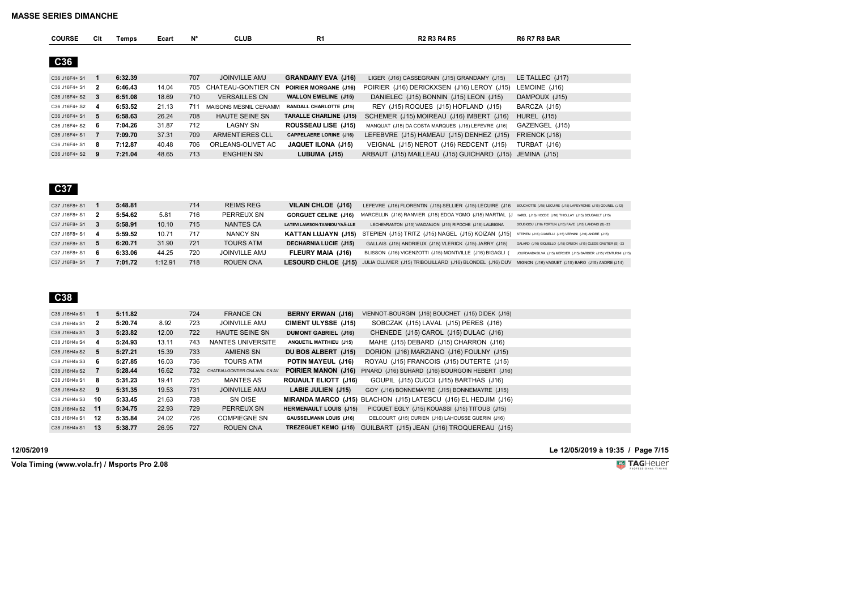| <b>COURSE</b>     | Clt | Temps   | Ecart | N°  | CLUB                   | R1                             | <b>R2 R3 R4 R5</b>                                 | <b>R6 R7 R8 BAR</b> |
|-------------------|-----|---------|-------|-----|------------------------|--------------------------------|----------------------------------------------------|---------------------|
|                   |     |         |       |     |                        |                                |                                                    |                     |
| C36               |     |         |       |     |                        |                                |                                                    |                     |
|                   |     |         |       |     |                        |                                |                                                    |                     |
| C36 J16F4+ S1     |     | 6:32.39 |       | 707 | <b>JOINVILLE AMJ</b>   | <b>GRANDAMY EVA (J16)</b>      | LIGER (J16) CASSEGRAIN (J15) GRANDAMY (J15)        | LE TALLEC (J17)     |
| C36 J16F4+ S1 2   |     | 6:46.43 | 14.04 | 705 | CHATEAU-GONTIER CN     | POIRIER MORGANE (J16)          | POIRIER (J16) DERICKXSEN (J16) LEROY (J15)         | LEMOINE (J16)       |
| C36 J16F4+ S2 3   |     | 6:51.08 | 18.69 | 710 | <b>VERSAILLES CN</b>   | <b>WALLON EMELINE (J15)</b>    | DANIELEC (J15) BONNIN (J15) LEON (J15)             | DAMPOUX (J15)       |
| C36 J16F4+ S2 4   |     | 6:53.52 | 21.13 | 711 | MAISONS MESNIL CERAMM  | <b>RANDALL CHARLOTTE (J15)</b> | REY (J15) ROQUES (J15) HOFLAND (J15)               | BARCZA (J15)        |
| C36 J16F4+ S1     | 5   | 6:58.63 | 26.24 | 708 | <b>HAUTE SEINE SN</b>  | <b>TARALLE CHARLINE (J15)</b>  | SCHEMER (J15) MOIREAU (J16) IMBERT (J16)           | HUREL (J15)         |
| $C36$ J16F4+ S2 6 |     | 7:04.26 | 31.87 | 712 | <b>LAGNY SN</b>        | <b>ROUSSEAU LISE (J15)</b>     | MANQUAT (J15) DA COSTA MARQUES (J16) LEFEVRE (J16) | GAZENGEL (J15)      |
| C36 J16F4+ S1 7   |     | 7:09.70 | 37.31 | 709 | <b>ARMENTIERES CLL</b> | <b>CAPPELAERE LORINE (J16)</b> | LEFEBVRE (J15) HAMEAU (J15) DENHEZ (J15)           | FRIENCK (J18)       |
| C36 J16F4+ S1 8   |     | 7:12.87 | 40.48 | 706 | ORLEANS-OLIVET AC      | JAQUET ILONA (J15)             | VEIGNAL (J15) NEROT (J16) REDCENT (J15)            | TURBAT (J16)        |
| C36 J16F4+ S2     | 9   | 7:21.04 | 48.65 | 713 | <b>ENGHIEN SN</b>      | LUBUMA (J15)                   | ARBAUT (J15) MAILLEAU (J15) GUICHARD (J15)         | JEMINA (J15)        |
|                   |     |         |       |     |                        |                                |                                                    |                     |

 **C37** 

| C37 J16F8+ S1 | 5:48.81 |         | 714 | <b>REIMS REG</b>     | VILAIN CHLOE (J16)             | LEFEVRE (J16) FLORENTIN (J15) SELLIER (J15) LECUIRE (J16 BOUCHOTTE (J15) LECUIRE (J15) LAPEYRONIE (J15) GOUNEL (J12) |                                                                  |
|---------------|---------|---------|-----|----------------------|--------------------------------|----------------------------------------------------------------------------------------------------------------------|------------------------------------------------------------------|
| C37 J16F8+ S1 | 5:54.62 | 5.81    | 716 | PERREUX SN           | <b>GORGUET CELINE (J16)</b>    | MARCELLIN (J16) RANVIER (J15) EDOA YOMO (J15) MARTIAL (J HAREL (J16) HOCDE (J16) THIOLLAY (J15) BOUGAULT (J15)       |                                                                  |
| C37 J16F8+ S1 | 5:58.91 | 10.10   | 715 | NANTES CA            | LATEVI LAWSON-TANNIOU YAA (LLE | LECHEVRANTON (J15) VANDANJON (J16) RIPOCHE (J16) LAUBIGNA                                                            | SOUBIGOU (J16) FORTUN (J15) FAVE (J15) LANDAIS (S) -23           |
| C37 J16F8+ S1 | 5:59.52 | 10.71   | 717 | NANCY SN             | KATTAN LUJAYN (J15)            | STEPIEN (J15) TRITZ (J15) NAGEL (J15) KOIZAN (J15)                                                                   | STEPIEN (J16) CIANELLI (J15) VERNINI (J16) ANDRE (J15)           |
| C37 J16F8+ S1 | 6:20.71 | 31.90   | 721 | <b>TOURS ATM</b>     | <b>DECHARNIA LUCIE (J15)</b>   | GALLAIS (J15) ANDRIEUX (J15) VLERICK (J15) JARRY (J15)                                                               | GALARD (J16) GIQUELLO (J15) DRUON (J15) CLEDE GAUTIER (S) -23    |
| C37 J16F8+ S1 | 6:33.06 | 44.25   | 720 | <b>JOINVILLE AMJ</b> | <b>FLEURY MAIA (J16)</b>       | BLISSON (J16) VICENZOTTI (J15) MONTVILLE (J16) BIGAGLI                                                               | JOURDANDASILVA (J15) MERCIER (J15) BARBIER (J15) VENTURINI (J15) |
| C37 J16F8+ S1 | 7:01.72 | 1:12.91 | 718 | ROUEN CNA            |                                | LESOURD CHLOE (J15) JULIA OLLIVIER (J15) TRIBOUILLARD (J16) BLONDEL (J16) DUV                                        | MIGNON (J16) VAGUET (J15) BARO (J15) ANDRE (J14)                 |

 **C38** 

| C38 J16H4x S1 |    | 5:11.82 |       | 724 | <b>FRANCE CN</b>               | <b>BERNY ERWAN (J16)</b>      | VIENNOT-BOURGIN (J16) BOUCHET (J15) DIDEK (J16)                 |
|---------------|----|---------|-------|-----|--------------------------------|-------------------------------|-----------------------------------------------------------------|
| C38 J16H4x S1 | 2  | 5:20.74 | 8.92  | 723 | <b>JOINVILLE AMJ</b>           | <b>CIMENT ULYSSE (J15)</b>    | SOBCZAK (J15) LAVAL (J15) PERES (J16)                           |
| C38 J16H4x S1 | 3  | 5:23.82 | 12.00 | 722 | <b>HAUTE SEINE SN</b>          | <b>DUMONT GABRIEL (J16)</b>   | CHENEDE (J15) CAROL (J15) DULAC (J16)                           |
| C38 J16H4x S4 | 4  | 5:24.93 | 13.11 | 743 | NANTES UNIVERSITE              | ANQUETIL MATTHIEU (J15)       | MAHE (J15) DEBARD (J15) CHARRON (J16)                           |
| C38 J16H4x S2 | 5  | 5:27.21 | 15.39 | 733 | <b>AMIENS SN</b>               | DU BOS ALBERT (J15)           | DORION (J16) MARZIANO (J16) FOULNY (J15)                        |
| C38 J16H4x S3 | 6  | 5:27.85 | 16.03 | 736 | TOURS ATM                      | POTIN MAYEUL (J16)            | ROYAU (J15) FRANCOIS (J15) DUTERTE (J15)                        |
| C38 J16H4x S2 | 7  | 5:28.44 | 16.62 | 732 | CHATEAU-GONTIER CN/LAVAL CN AV | POIRIER MANON (J16)           | PINARD (J16) SUHARD (J16) BOURGOIN HEBERT (J16)                 |
| C38 J16H4x S1 | 8  | 5:31.23 | 19.41 | 725 | MANTES AS                      | <b>ROUAULT ELIOTT (J16)</b>   | GOUPIL (J15) CUCCI (J15) BARTHAS (J16)                          |
| C38 J16H4x S2 | 9  | 5:31.35 | 19.53 | 731 | <b>JOINVILLE AMJ</b>           | LABIE JULIEN (J15)            | GOY (J16) BONNEMAYRE (J15) BONNEMAYRE (J15)                     |
| C38 J16H4x S3 | 10 | 5:33.45 | 21.63 | 738 | SN OISE                        |                               | MIRANDA MARCO (J15) BLACHON (J15) LATESCU (J16) EL HEDJIM (J16) |
| C38 J16H4x S2 | 11 | 5:34.75 | 22.93 | 729 | PERREUX SN                     | <b>HERMENAULT LOUIS (J15)</b> | PICQUET EGLY (J15) KOUASSI (J15) TITOUS (J15)                   |
| C38 J16H4x S1 | 12 | 5:35.84 | 24.02 | 726 | <b>COMPIEGNE SN</b>            | GAUSSELMANN LOUIS (J16)       | DELCOURT (J15) CURIEN (J16) LAHOUSSE GUERIN (J16)               |
| C38 J16H4x S1 | 13 | 5:38.77 | 26.95 | 727 | ROUEN CNA                      |                               | TREZEGUET KEMO (J15) GUILBART (J15) JEAN (J16) TROQUEREAU (J15) |
|               |    |         |       |     |                                |                               |                                                                 |

**12/05/2019 Le 12/05/2019 à 19:35 / Page 7/15**

**Vola Timing (www.vola.fr) / Msports Pro 2.08**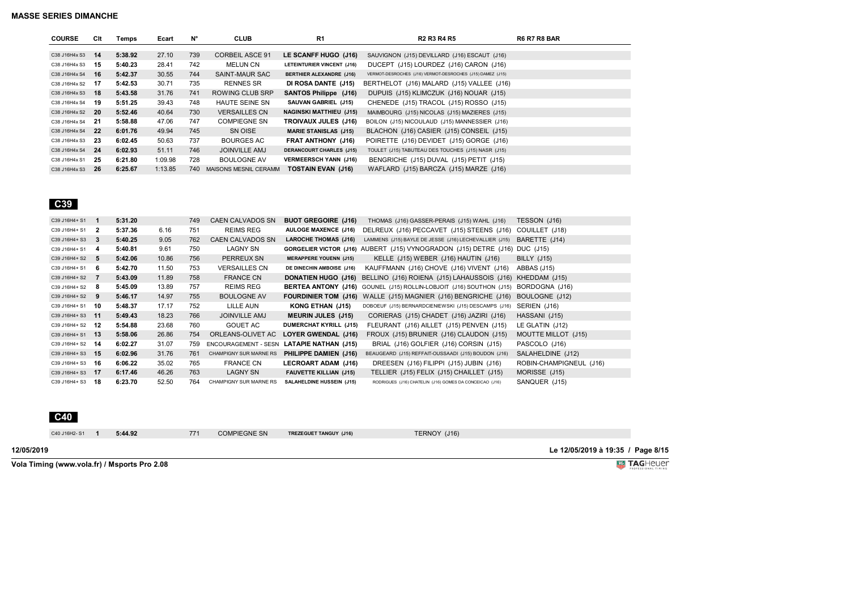| <b>COURSE</b> | Clt | Temps   | Ecart   | Ν°  | <b>CLUB</b>            | R1                              | <b>R2 R3 R4 R5</b>                                        | <b>R6 R7 R8 BAR</b> |
|---------------|-----|---------|---------|-----|------------------------|---------------------------------|-----------------------------------------------------------|---------------------|
|               |     |         |         |     |                        |                                 |                                                           |                     |
| C38 J16H4x S3 | 14  | 5:38.92 | 27.10   | 739 | <b>CORBEIL ASCE 91</b> | LE SCANFF HUGO (J16)            | SAUVIGNON (J15) DEVILLARD (J16) ESCAUT (J16)              |                     |
| C38 J16H4x S3 | 15  | 5:40.23 | 28.41   | 742 | <b>MELUN CN</b>        | LETEINTURIER VINCENT (J16)      | DUCEPT (J15) LOURDEZ (J16) CARON (J16)                    |                     |
| C38 J16H4x S4 | 16  | 5:42.37 | 30.55   | 744 | <b>SAINT-MAUR SAC</b>  | <b>BERTHIER ALEXANDRE (J16)</b> | VERMOT-DESROCHES (J16) VERMOT-DESROCHES (J15) DAMEZ (J15) |                     |
| C38 J16H4x S2 | 17  | 5:42.53 | 30.71   | 735 | <b>RENNES SR</b>       | DI ROSA DANTE (J15)             | BERTHELOT (J16) MALARD (J15) VALLEE (J16)                 |                     |
| C38 J16H4x S3 | 18  | 5:43.58 | 31.76   | 741 | ROWING CLUB SRP        | SANTOS Philippe (J16)           | DUPUIS (J15) KLIMCZUK (J16) NOUAR (J15)                   |                     |
| C38 J16H4x S4 | 19  | 5:51.25 | 39.43   | 748 | <b>HAUTE SEINE SN</b>  | SAUVAN GABRIEL (J15)            | CHENEDE (J15) TRACOL (J15) ROSSO (J15)                    |                     |
| C38 J16H4x S2 | -20 | 5:52.46 | 40.64   | 730 | <b>VERSAILLES CN</b>   | <b>NAGINSKI MATTHIEU (J15)</b>  | MAIMBOURG (J15) NICOLAS (J15) MAZIERES (J15)              |                     |
| C38 J16H4x S4 | 21  | 5:58.88 | 47.06   | 747 | <b>COMPIEGNE SN</b>    | TROIVAUX JULES (J16)            | BOILON (J15) NICOULAUD (J15) MANNESSIER (J16)             |                     |
| C38 J16H4x S4 | 22  | 6:01.76 | 49.94   | 745 | SN OISE                | <b>MARIE STANISLAS (J15)</b>    | BLACHON (J16) CASIER (J15) CONSEIL (J15)                  |                     |
| C38 J16H4x S3 | 23  | 6:02.45 | 50.63   | 737 | <b>BOURGES AC</b>      | <b>FRAT ANTHONY (J16)</b>       | POIRETTE (J16) DEVIDET (J15) GORGE (J16)                  |                     |
| C38 J16H4x S4 | 24  | 6.02.93 | 51.11   | 746 | <b>JOINVILLE AMJ</b>   | <b>DERANCOURT CHARLES (J15)</b> | TOULET (J15) TABUTEAU DES TOUCHES (J15) NASR (J15)        |                     |
| C38 J16H4x S1 | 25  | 6:21.80 | 1:09.98 | 728 | <b>BOULOGNE AV</b>     | <b>VERMEERSCH YANN (J16)</b>    | BENGRICHE (J15) DUVAL (J15) PETIT (J15)                   |                     |
| C38 J16H4x S3 | 26  | 6:25.67 | 1:13.85 | 740 | MAISONS MESNIL CERAMM  | <b>TOSTAIN EVAN (J16)</b>       | WAFLARD (J15) BARCZA (J15) MARZE (J16)                    |                     |

| C39 J16H4+ S1 |     | 5:31.20 |       | 749 | <b>CAEN CALVADOS SN</b>       | <b>BUOT GREGOIRE (J16)</b>       | THOMAS (J16) GASSER-PERAIS (J15) WAHL (J16)                      | TESSON (J16)            |
|---------------|-----|---------|-------|-----|-------------------------------|----------------------------------|------------------------------------------------------------------|-------------------------|
| C39 J16H4+ S1 | 2   | 5:37.36 | 6.16  | 751 | <b>REIMS REG</b>              | <b>AULOGE MAXENCE (J16)</b>      | DELREUX (J16) PECCAVET (J15) STEENS (J16)                        | COUILLET (J18)          |
| C39 J16H4+ S3 | 3   | 5:40.25 | 9.05  | 762 | <b>CAEN CALVADOS SN</b>       | <b>LAROCHE THOMAS (J16)</b>      | LAMMENS (J15) BAYLE DE JESSE (J16) LECHEVALLIER (J15)            | BARETTE (J14)           |
| C39 J16H4+ S1 | 4   | 5:40.81 | 9.61  | 750 | <b>LAGNY SN</b>               |                                  | GORGELIER VICTOR (J16) AUBERT (J15) VYNOGRADON (J15) DETRE (J16) | <b>DUC (J15)</b>        |
| C39 J16H4+ S2 | 5   | 5:42.06 | 10.86 | 756 | PERREUX SN                    | <b>MERAPPERE YOUENN (J15)</b>    | KELLE (J15) WEBER (J16) HAUTIN (J16)                             | BILLY (J15)             |
| C39 J16H4+ S1 | 6   | 5:42.70 | 11.50 | 753 | VERSAILLES CN                 | DE DINECHIN AMBOISE (J16)        | KAUFFMANN (J16) CHOVE (J16) VIVENT (J16)                         | ABBAS (J15)             |
| C39 J16H4+ S2 | 7   | 5:43.09 | 11.89 | 758 | <b>FRANCE CN</b>              | <b>DONATIEN HUGO (J16)</b>       | BELLINO (J16) ROIENA (J15) LAHAUSSOIS (J16)                      | KHEDDAM (J15)           |
| C39 J16H4+ S2 | -8  | 5:45.09 | 13.89 | 757 | <b>REIMS REG</b>              | <b>BERTEA ANTONY (J16)</b>       | GOUNEL (J15) ROLLIN-LOBJOIT (J16) SOUTHON (J15)                  | BORDOGNA (J16)          |
| C39 J16H4+ S2 | 9   | 5:46.17 | 14.97 | 755 | <b>BOULOGNE AV</b>            | <b>FOURDINIER TOM (J16)</b>      | WALLE (J15) MAGNIER (J16) BENGRICHE (J16)                        | BOULOGNE (J12)          |
| C39 J16H4+ S1 | 10  | 5:48.37 | 17.17 | 752 | LILLE AUN                     | <b>KONG ETHAN (J15)</b>          | DOBOEUF (J15) BERNARDCIENIEWSKI (J15) DESCAMPS (J16)             | SERIEN (J16)            |
| C39 J16H4+ S3 | 11  | 5:49.43 | 18.23 | 766 | <b>JOINVILLE AMJ</b>          | <b>MEURIN JULES (J15)</b>        | CORIERAS (J15) CHADET (J16) JAZIRI (J16)                         | HASSANI (J15)           |
| C39 J16H4+ S2 | -12 | 5:54.88 | 23.68 | 760 | <b>GOUET AC</b>               | <b>DUMERCHAT KYRILL (J15)</b>    | FLEURANT (J16) AILLET (J15) PENVEN (J15)                         | LE GLATIN (J12)         |
| C39 J16H4+ S1 | -13 | 5:58.06 | 26.86 | 754 | ORLEANS-OLIVET AC             | LOYER GWENDAL (J16)              | FROUX (J15) BRUNIER (J16) CLAUDON (J15)                          | MOUTTE MILLOT (J15)     |
| C39 J16H4+ S2 | 14  | 6:02.27 | 31.07 | 759 | ENCOURAGEMENT - SESN          | LATAPIE NATHAN (J15)             | BRIAL (J16) GOLFIER (J16) CORSIN (J15)                           | PASCOLO (J16)           |
| C39 J16H4+ S3 | 15  | 6:02.96 | 31.76 | 761 | CHAMPIGNY SUR MARNE RS        | PHILIPPE DAMIEN (J16)            | BEAUGEARD (J15) REFFAIT-OUSSAADI (J15) BOUDON (J16)              | SALAHELDINE (J12)       |
| C39 J16H4+ S3 | 16  | 6:06.22 | 35.02 | 765 | <b>FRANCE CN</b>              | LECROART ADAM (J16)              | DREESEN (J16) FILIPPI (J15) JUBIN (J16)                          | ROBIN-CHAMPIGNEUL (J16) |
| C39 J16H4+ S3 | 17  | 6:17.46 | 46.26 | 763 | <b>LAGNY SN</b>               | <b>FAUVETTE KILLIAN (J15)</b>    | TELLIER (J15) FELIX (J15) CHAILLET (J15)                         | MORISSE (J15)           |
| C39 J16H4+ S3 | 18  | 6.23.70 | 52.50 | 764 | <b>CHAMPIGNY SUR MARNE RS</b> | <b>SALAHELDINE HUSSEIN (J15)</b> | RODRIGUES (J16) CHATELIN (J16) GOMES DA CONCEICAO (J16)          | SANQUER (J15)           |



**12/05/2019 Le 12/05/2019 à 19:35 / Page 8/15** C40 J16H2- S1 **1 5:44.92** 771 COMPIEGNE SN **TREZEGUET TANGUY (J16)** TERNOY (J16)

**Vola Timing (www.vola.fr) / Msports Pro 2.08**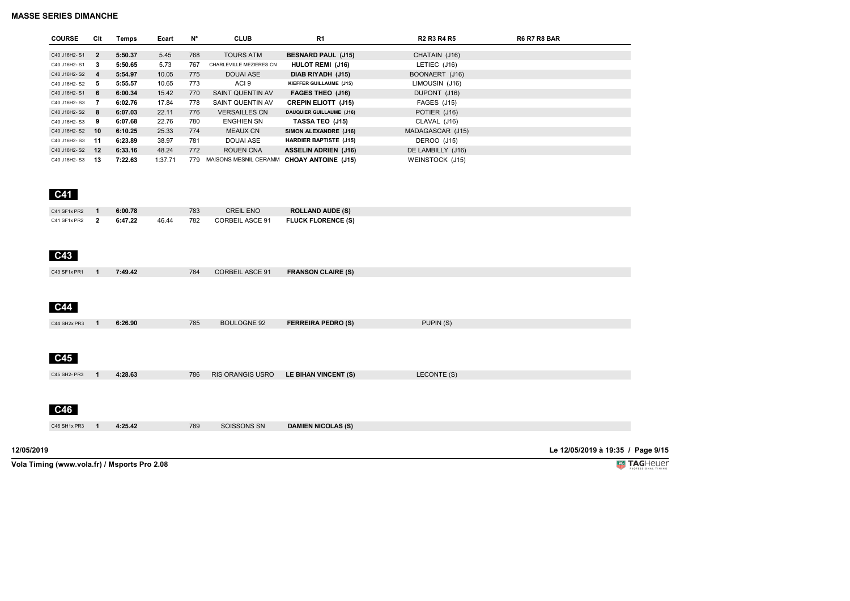| <b>COURSE</b> | Clt            | Temps   | Ecart   | N°  | <b>CLUB</b>             | R <sub>1</sub>                | <b>R2 R3 R4 R5</b> | <b>R6 R7 R8 BAR</b> |
|---------------|----------------|---------|---------|-----|-------------------------|-------------------------------|--------------------|---------------------|
|               |                |         |         |     |                         |                               |                    |                     |
| C40 J16H2-S1  | $\overline{2}$ | 5:50.37 | 5.45    | 768 | <b>TOURS ATM</b>        | <b>BESNARD PAUL (J15)</b>     | CHATAIN (J16)      |                     |
| C40 J16H2-S1  | 3              | 5:50.65 | 5.73    | 767 | CHARLEVILLE MEZIERES CN | HULOT REMI (J16)              | LETIEC (J16)       |                     |
| C40 J16H2-S2  | 4              | 5:54.97 | 10.05   | 775 | <b>DOUAI ASE</b>        | DIAB RIYADH (J15)             | BOONAERT (J16)     |                     |
| C40 J16H2-S2  | 5              | 5:55.57 | 10.65   | 773 | ACI <sub>9</sub>        | KIEFFER GUILLAUME (J15)       | LIMOUSIN (J16)     |                     |
| C40 J16H2-S1  | 6              | 6:00.34 | 15.42   | 770 | SAINT QUENTIN AV        | <b>FAGES THEO (J16)</b>       | DUPONT (J16)       |                     |
| C40 J16H2-S3  |                | 6:02.76 | 17.84   | 778 | SAINT QUENTIN AV        | <b>CREPIN ELIOTT (J15)</b>    | FAGES (J15)        |                     |
| C40 J16H2-S2  | 8              | 6:07.03 | 22.11   | 776 | <b>VERSAILLES CN</b>    | DAUQUIER GUILLAUME (J16)      | POTIER (J16)       |                     |
| C40 J16H2-S3  | 9              | 6:07.68 | 22.76   | 780 | <b>ENGHIEN SN</b>       | TASSA TEO (J15)               | CLAVAL (J16)       |                     |
| C40 J16H2-S2  | 10             | 6:10.25 | 25.33   | 774 | <b>MEAUX CN</b>         | SIMON ALEXANDRE (J16)         | MADAGASCAR (J15)   |                     |
| C40 J16H2-S3  | 11             | 6:23.89 | 38.97   | 781 | DOUAI ASE               | <b>HARDIER BAPTISTE (J15)</b> | DEROO (J15)        |                     |
| C40 J16H2-S2  | 12             | 6:33.16 | 48.24   | 772 | <b>ROUEN CNA</b>        | <b>ASSELIN ADRIEN (J16)</b>   | DE LAMBILLY (J16)  |                     |
| C40 J16H2-S3  | 13             | 7:22.63 | 1:37.71 | 779 | MAISONS MESNIL CERAMM   | <b>CHOAY ANTOINE (J15)</b>    | WEINSTOCK (J15)    |                     |

# **C41**

| C41 SF1x PR2 $\blacksquare$ 1 | 6:00.78 | 783 | <b>CREIL ENO</b> | <b>ROLLAND AUDE (S)</b>                      |
|-------------------------------|---------|-----|------------------|----------------------------------------------|
| C41 SF1x PR2 2 6:47.22        |         |     |                  | 46.44 782 CORBEIL ASCE 91 FLUCK FLORENCE (S) |

# **C43**

| C43 SF1x PR1    | 7:49.42 | 784 | <b>CORBEIL ASCE 91</b> | <b>FRANSON CLAIRE (S)</b> |           |
|-----------------|---------|-----|------------------------|---------------------------|-----------|
|                 |         |     |                        |                           |           |
|                 |         |     |                        |                           |           |
|                 |         |     |                        |                           |           |
| C <sub>44</sub> |         |     |                        |                           |           |
| C44 SH2x PR3    | 6:26.90 | 785 | <b>BOULOGNE 92</b>     | <b>FERREIRA PEDRO (S)</b> | PUPIN (S) |
|                 |         |     |                        |                           |           |

# **C45**

| <b>RIS ORANGIS USRO</b><br>LECONTE (S)<br>LE BIHAN VINCENT (S)<br>786<br>4:28.63<br>,我们就会在这里,我们就会在这里,我们就会在这里,我们就会在这里,我们就会在这里,我们就会在这里,我们就会在这里,我们就会在这里,我们就会在这里,我们就会在这里 |
|----------------------------------------------------------------------------------------------------------------------------------------------------------------------|
|----------------------------------------------------------------------------------------------------------------------------------------------------------------------|

|            | C46          |         |     |             |                           |                                   |  |
|------------|--------------|---------|-----|-------------|---------------------------|-----------------------------------|--|
|            | C46 SH1x PR3 | 4:25.42 | 789 | SOISSONS SN | <b>DAMIEN NICOLAS (S)</b> |                                   |  |
|            |              |         |     |             |                           |                                   |  |
| 12/05/2019 |              |         |     |             |                           | Le 12/05/2019 à 19:35 / Page 9/15 |  |

# **Vola Timing (www.vola.fr) / Msports Pro 2.08**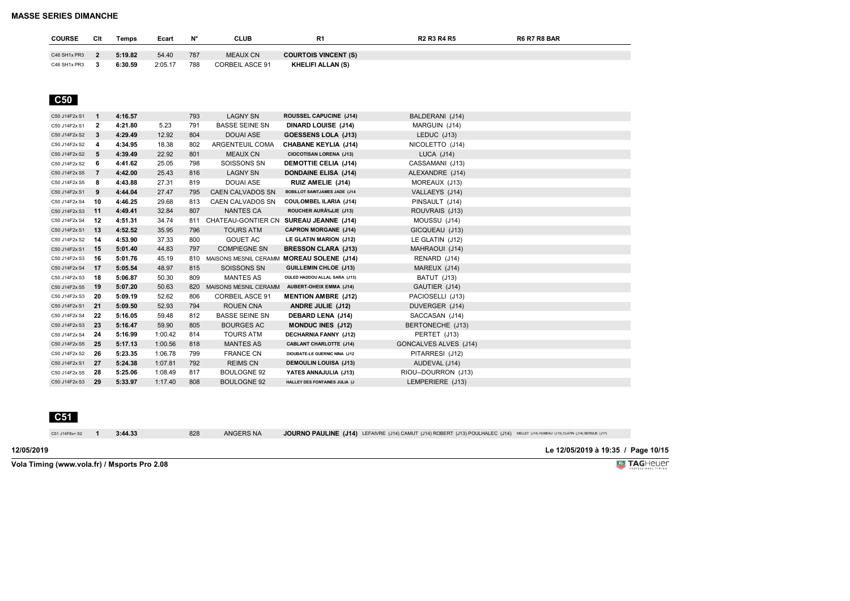| <b>COURSF</b> | Cit | Temps   | Ecart   |     | CLUB                   | R1                          | <b>R2 R3 R4 R5</b> | <b>R6 R7 R8 BAR</b> |  |
|---------------|-----|---------|---------|-----|------------------------|-----------------------------|--------------------|---------------------|--|
|               |     |         |         |     |                        |                             |                    |                     |  |
| C46 SH1x PR3  |     | 5:19.82 | 54.40   | 787 | <b>MEAUX CN</b>        | <b>COURTOIS VINCENT (S)</b> |                    |                     |  |
| C46 SH1x PR3  |     | 6:30.59 | 2:05.17 | 788 | <b>CORBEIL ASCE 91</b> | <b>KHELIFI ALLAN (S)</b>    |                    |                     |  |

| C50 J14F2x S1 | $\mathbf{1}$   | 4:16.57 |         | 793 | <b>LAGNY SN</b>         | <b>ROUSSEL CAPUCINE (J14)</b>             | BALDERANI (J14)       |  |
|---------------|----------------|---------|---------|-----|-------------------------|-------------------------------------------|-----------------------|--|
| C50 J14F2x S1 | $\mathbf{2}$   | 4:21.80 | 5.23    | 791 | <b>BASSE SEINE SN</b>   | <b>DINARD LOUISE (J14)</b>                | MARGUIN (J14)         |  |
| C50 J14F2x S2 | 3              | 4:29.49 | 12.92   | 804 | <b>DOUAI ASE</b>        | GOESSENS LOLA (J13)                       | LEDUC (J13)           |  |
| C50 J14F2x S2 | 4              | 4:34.95 | 18.38   | 802 | ARGENTEUIL COMA         | <b>CHABANE KEYLIA (J14)</b>               | NICOLETTO (J14)       |  |
| C50 J14F2x S2 | 5              | 4:39.49 | 22.92   | 801 | <b>MEAUX CN</b>         | <b>CIOCOTISAN LORENA (J13)</b>            | LUCA (J14)            |  |
| C50 J14F2x S2 | 6              | 4:41.62 | 25.05   | 798 | <b>SOISSONS SN</b>      | <b>DEMOTTIE CELIA (J14)</b>               | CASSAMANI (J13)       |  |
| C50 J14F2x S5 | $\overline{7}$ | 4:42.00 | 25.43   | 816 | <b>LAGNY SN</b>         | <b>DONDAINE ELISA (J14)</b>               | ALEXANDRE (J14)       |  |
| C50 J14F2x S5 | 8              | 4:43.88 | 27.31   | 819 | <b>DOUAI ASE</b>        | <b>RUIZ AMELIE (J14)</b>                  | MOREAUX (J13)         |  |
| C50 J14F2x S1 | 9              | 4:44.04 | 27.47   | 795 | <b>CAEN CALVADOS SN</b> | <b>BOBILLOT SAINTJAMES JADE (J14</b>      | VALLAEYS (J14)        |  |
| C50 J14F2x S4 | 10             | 4:46.25 | 29.68   | 813 | CAEN CALVADOS SN        | <b>COULOMBEL ILARIA (J14)</b>             | PINSAULT (J14)        |  |
| C50 J14F2x S3 | 11             | 4:49.41 | 32.84   | 807 | <b>NANTES CA</b>        | ROUCHER AURĉLIE (J13)                     | ROUVRAIS (J13)        |  |
| C50 J14F2x S4 | 12             | 4:51.31 | 34.74   |     | 811 CHATEAU-GONTIER CN  | SUREAU JEANNE (J14)                       | MOUSSU (J14)          |  |
| C50 J14F2x S1 | - 13           | 4:52.52 | 35.95   | 796 | <b>TOURS ATM</b>        | <b>CAPRON MORGANE (J14)</b>               | GICQUEAU (J13)        |  |
| C50 J14F2x S2 | - 14           | 4:53.90 | 37.33   | 800 | <b>GOUET AC</b>         | LE GLATIN MARION (J12)                    | LE GLATIN (J12)       |  |
| C50 J14F2x S1 | - 15           | 5:01.40 | 44.83   | 797 | <b>COMPIEGNE SN</b>     | <b>BRESSON CLARA (J13)</b>                | MAHRAOUI (J14)        |  |
| C50 J14F2x S3 | 16             | 5:01.76 | 45.19   | 810 |                         | MAISONS MESNIL CERAMM MOREAU SOLENE (J14) | RENARD (J14)          |  |
| C50 J14F2x S4 | 17             | 5:05.54 | 48.97   | 815 | SOISSONS SN             | <b>GUILLEMIN CHLOE (J13)</b>              | MAREUX (J14)          |  |
| C50 J14F2x S3 | 18             | 5:06.87 | 50.30   | 809 | <b>MANTES AS</b>        | OULED HADDOU ALLAL SARA (J13)             | BATUT (J13)           |  |
| C50 J14F2x S5 | 19             | 5:07.20 | 50.63   | 820 | MAISONS MESNIL CERAMM   | AUBERT-OHEIX EMMA (J14)                   | GAUTIER (J14)         |  |
| C50 J14F2x S3 | 20             | 5:09.19 | 52.62   | 806 | <b>CORBEIL ASCE 91</b>  | <b>MENTION AMBRE (J12)</b>                | PACIOSELLI (J13)      |  |
| C50 J14F2x S1 | 21             | 5:09.50 | 52.93   | 794 | <b>ROUEN CNA</b>        | ANDRE JULIE (J12)                         | DUVERGER (J14)        |  |
| C50 J14F2x S4 | 22             | 5:16.05 | 59.48   | 812 | <b>BASSE SEINE SN</b>   | DEBARD LENA (J14)                         | SACCASAN (J14)        |  |
| C50 J14F2x S3 | 23             | 5:16.47 | 59.90   | 805 | <b>BOURGES AC</b>       | <b>MONDUC INES (J12)</b>                  | BERTONECHE (J13)      |  |
| C50 J14F2x S4 | 24             | 5:16.99 | 1:00.42 | 814 | <b>TOURS ATM</b>        | <b>DECHARNIA FANNY (J12)</b>              | PERTET (J13)          |  |
| C50 J14F2x S5 | 25             | 5:17.13 | 1:00.56 | 818 | <b>MANTES AS</b>        | <b>CABLANT CHARLOTTE (J14)</b>            | GONCALVES ALVES (J14) |  |
| C50 J14F2x S2 | 26             | 5:23.35 | 1:06.78 | 799 | <b>FRANCE CN</b>        | DIOUBATE-LE GUERNIC NINA (J12             | PITARRESI (J12)       |  |
| C50 J14F2x S1 | -27            | 5:24.38 | 1:07.81 | 792 | <b>REIMS CN</b>         | <b>DEMOULIN LOUISA (J13)</b>              | AUDEVAL (J14)         |  |
| C50 J14F2x S5 | 28             | 5:25.06 | 1:08.49 | 817 | <b>BOULOGNE 92</b>      | YATES ANNAJULIA (J13)                     | RIOU--DOURRON (J13)   |  |
| C50 J14F2x S3 | 29             | 5:33.97 | 1:17.40 | 808 | <b>BOULOGNE 92</b>      | HALLEY DES FONTAINES JULIA (J             | LEMPERIERE (J13)      |  |



C51 J14F8x+ S2 **1** 3:44.33 828 ANGERS NA JOURNO PAULINE (J14) LEFAIVRE (J14) CAMUT (J14) ROBERT (J13) POULHALEC (J14) MELLET (J14) HULET (J14) ERICUE (J17)

**12/05/2019 Le 12/05/2019 à 19:35 / Page 10/15**

**Vola Timing (www.vola.fr) / Msports Pro 2.08**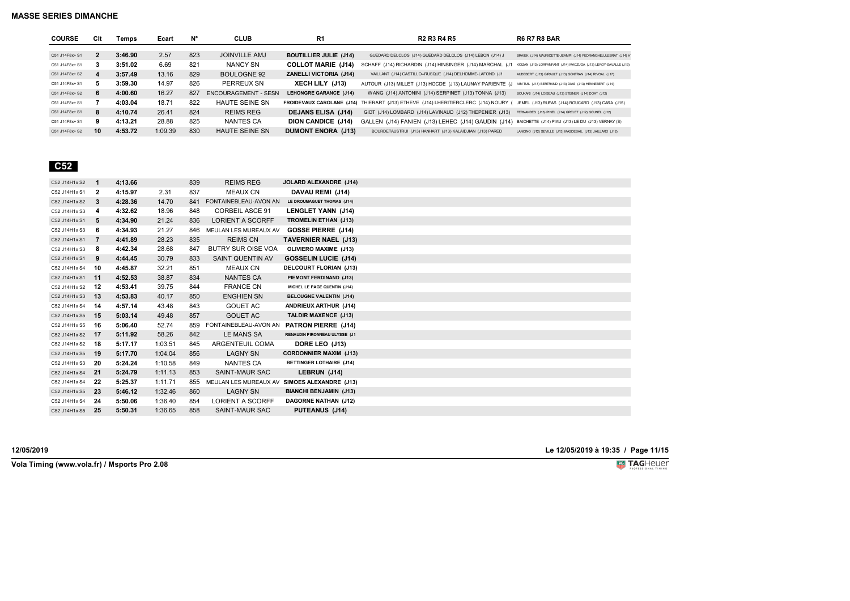| <b>COURSE</b>  | Clt | Temps   | Ecart   | N°  | <b>CLUB</b>                 | R1                               | <b>R2 R3 R4 R5</b>                                                                                                | <b>R6 R7 R8 BAR</b>                                             |
|----------------|-----|---------|---------|-----|-----------------------------|----------------------------------|-------------------------------------------------------------------------------------------------------------------|-----------------------------------------------------------------|
|                |     |         |         |     |                             |                                  |                                                                                                                   |                                                                 |
| C51 J14F8x+ S1 |     | 3:46.90 | 2.57    | 823 | <b>JOINVILLE AMJ</b>        | <b>BOUTILLIER JULIE (J14)</b>    | GUEDARD DELCLOS (J14) GUEDARD DELCLOS (J14) LEBON (J14) J                                                         | BRAIEK (J14) MAURICETTE-JEAMPI (J14) PEDRANGHELULEBRAT (J14) H  |
| C51 J14F8x+ S1 | 3   | 3:51.02 | 6.69    | 821 | NANCY SN                    | <b>COLLOT MARIE (J14)</b>        | SCHAFF (J14) RICHARDIN (J14) HINSINGER (J14) MARCHAL (J1                                                          | KOIZAN (J13) LORFANFANT (J14) MACZUGA (J13) LEROY-SAVALLE (J13) |
| C51 J14F8x+ S2 | 4   | 3:57.49 | 13.16   | 829 | <b>BOULOGNE 92</b>          | <b>ZANELLI VICTORIA (J14)</b>    | VAILLANT (J14) CASTILLO--RUSQUE (J14) DELHOMME-LAFOND (J1                                                         | AUDEBERT (J13) GIRAULT (J13) GONTRAN (J14) RIVOAL (J17)         |
| C51 J14F8x+ S1 | 5   | 3:59.30 | 14.97   | 826 | PERREUX SN                  | XECH LILY (J13)                  | AUTOUR (J13) MILLET (J13) HOCDE (J13) LAUNAY PARIENTE (J AIM TUIL (J13) BERTRAND (J13) DIAS (J13) HENNEBERT (J14) |                                                                 |
| C51 J14F8x+ S2 | 6   | 4:00.60 | 16.27   | 827 | <b>ENCOURAGEMENT - SESN</b> | <b>LEHONGRE GARANCE (J14)</b>    | WANG (J14) ANTONINI (J14) SERPINET (J13) TONNA (J13)                                                              | BOUKARI (J14) LOISEAU (J13) STEINER (J14) DOAT (J12)            |
| C51 J14F8x+ S1 |     | 4:03.04 | 18.71   | 822 | <b>HAUTE SEINE SN</b>       | <b>FROIDEVAUX CAROLANE (J14)</b> | THIERART (J13) ETHEVE (J14) LHERITIERCLERC (J14) NOURY (                                                          | JEMEL (J13) RUFAS (J14) BOUCARD (J13) CARA (J15)                |
| C51 J14F8x+ S1 | 8   | 4:10.74 | 26.41   | 824 | <b>REIMS REG</b>            | <b>DEJANS ELISA (J14)</b>        | GIOT (J14) LOMBARD (J14) LAVINAUD (J12) THEPENIER (J13)                                                           | FERNANDES (J13) PINEL (J14) GRELET (J12) GOUNEL (J12)           |
| C51 J14F8x+ S1 | 9   | 4:13.21 | 28.88   | 825 | NANTES CA                   | <b>DION CANDICE (J14)</b>        | GALLEN (J14) FANIEN (J13) LEHEC (J14) GAUDIN (J14)                                                                | BAICHETTE (J14) PIAU (J13) LE DU (J13) VERNAY (S)               |
| C51 J14F8x+ S2 | 10  | 4:53.72 | 1:09.39 | 830 | <b>HAUTE SEINE SN</b>       | <b>DUMONT ENORA (J13)</b>        | BOURDETAUSTRUI (J13) HANHART (J13) KALAIDJIAN (J13) PARED                                                         | LANCINO (J12) SEVILLE (J13) MASDEBAIL (J13) JAILLARD (J12)      |

 **C52** 

| C52 J14H1x S2 | -1             | 4:13.66 |         | 839 | <b>REIMS REG</b>          | JOLARD ALEXANDRE (J14)          |
|---------------|----------------|---------|---------|-----|---------------------------|---------------------------------|
| C52 J14H1x S1 | $\mathbf{2}$   | 4:15.97 | 2.31    | 837 | <b>MEAUX CN</b>           | DAVAU REMI (J14)                |
| C52 J14H1x S2 | 3              | 4:28.36 | 14.70   | 841 | FONTAINEBLEAU-AVON AN     | LE DROUMAGUET THOMAS (J14)      |
| C52 J14H1x S3 | 4              | 4:32.62 | 18.96   | 848 | <b>CORBEIL ASCE 91</b>    | <b>LENGLET YANN (J14)</b>       |
| C52 J14H1x S1 | 5              | 4:34.90 | 21.24   | 836 | <b>LORIENT A SCORFF</b>   | <b>TROMELIN ETHAN (J13)</b>     |
| C52 J14H1x S3 | -6             | 4:34.93 | 21.27   | 846 | MEULAN LES MUREAUX AV     | GOSSE PIERRE (J14)              |
| C52 J14H1x S1 | $\overline{7}$ | 4:41.89 | 28.23   | 835 | <b>REIMS CN</b>           | <b>TAVERNIER NAEL (J13)</b>     |
| C52 J14H1x S3 | 8              | 4:42.34 | 28.68   | 847 | <b>BUTRY SUR OISE VOA</b> | <b>OLIVIERO MAXIME (J13)</b>    |
| C52 J14H1x S1 | 9              | 4:44.45 | 30.79   | 833 | <b>SAINT QUENTIN AV</b>   | <b>GOSSELIN LUCIE (J14)</b>     |
| C52 J14H1x S4 | 10             | 4:45.87 | 32.21   | 851 | <b>MEAUX CN</b>           | <b>DELCOURT FLORIAN (J13)</b>   |
| C52 J14H1x S1 | 11             | 4:52.53 | 38.87   | 834 | <b>NANTES CA</b>          | PIEMONT FERDINAND (J13)         |
| C52 J14H1x S2 | 12             | 4:53.41 | 39.75   | 844 | <b>FRANCE CN</b>          | MICHEL LE PAGE QUENTIN (J14)    |
| C52 J14H1x S3 | -13            | 4:53.83 | 40.17   | 850 | <b>ENGHIEN SN</b>         | <b>BELOUGNE VALENTIN (J14)</b>  |
| C52 J14H1x S4 | 14             | 4:57.14 | 43.48   | 843 | <b>GOUET AC</b>           | <b>ANDRIEUX ARTHUR (J14)</b>    |
| C52 J14H1x S5 | 15             | 5:03.14 | 49.48   | 857 | <b>GOUET AC</b>           | <b>TALDIR MAXENCE (J13)</b>     |
| C52 J14H1x S5 | 16             | 5:06.40 | 52.74   | 859 | FONTAINEBLEAU-AVON AN     | <b>PATRON PIERRE (J14)</b>      |
| C52 J14H1x S2 | 17             | 5:11.92 | 58.26   | 842 | LE MANS SA                | RENAUDIN PIRONNEAU ULYSSE (J1   |
| C52 J14H1x S2 | 18             | 5:17.17 | 1:03.51 | 845 | ARGENTEUIL COMA           | DORE LEO (J13)                  |
| C52 J14H1x S5 | -19            | 5:17.70 | 1:04.04 | 856 | <b>LAGNY SN</b>           | <b>CORDONNIER MAXIM (J13)</b>   |
| C52 J14H1x S3 | 20             | 5:24.24 | 1:10.58 | 849 | <b>NANTES CA</b>          | <b>BETTINGER LOTHAIRE (J14)</b> |
| C52 J14H1x S4 | 21             | 5:24.79 | 1:11.13 | 853 | <b>SAINT-MAUR SAC</b>     | LEBRUN (J14)                    |
| C52 J14H1x S4 | 22             | 5:25.37 | 1:11.71 | 855 | MEULAN LES MUREAUX AV     | SIMOES ALEXANDRE (J13)          |
| C52 J14H1x S5 | 23             | 5:46.12 | 1:32.46 | 860 | <b>LAGNY SN</b>           | <b>BIANCHI BENJAMIN (J13)</b>   |
| C52 J14H1x S4 | 24             | 5:50.06 | 1:36.40 | 854 | <b>LORIENT A SCORFF</b>   | <b>DAGORNE NATHAN (J12)</b>     |
| C52 J14H1x S5 | 25             | 5:50.31 | 1:36.65 | 858 | <b>SAINT-MAUR SAC</b>     | PUTEANUS (J14)                  |
|               |                |         |         |     |                           |                                 |

**12/05/2019 Le 12/05/2019 à 19:35 / Page 11/15**

**Vola Timing (www.vola.fr) / Msports Pro 2.08**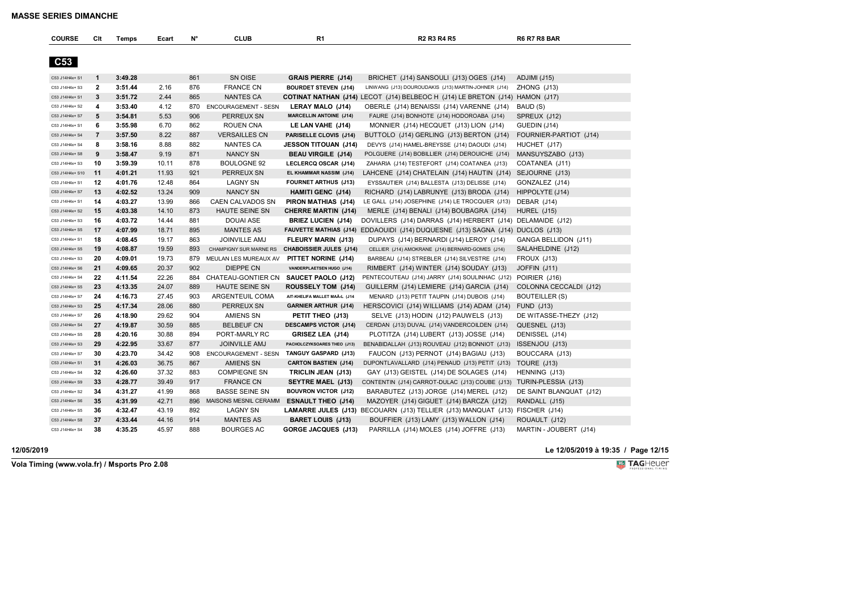| <b>COURSE</b>   | Clt            | Temps   | Ecart | N°  | <b>CLUB</b>                 | R1                                                                                                                               | R <sub>2</sub> R <sub>3</sub> R <sub>4</sub> R <sub>5</sub>                           | <b>R6 R7 R8 BAR</b>     |
|-----------------|----------------|---------|-------|-----|-----------------------------|----------------------------------------------------------------------------------------------------------------------------------|---------------------------------------------------------------------------------------|-------------------------|
|                 |                |         |       |     |                             |                                                                                                                                  |                                                                                       |                         |
| C53             |                |         |       |     |                             |                                                                                                                                  |                                                                                       |                         |
| C53 J14H4x+ S1  | $\mathbf{1}$   | 3:49.28 |       | 861 | SN OISE                     | <b>GRAIS PIERRE (J14)</b>                                                                                                        | BRICHET (J14) SANSOULI (J13) OGES (J14)                                               | ADJIMI (J15)            |
| C53 J14H4x+ S3  | $\overline{2}$ | 3:51.44 | 2.16  | 876 | <b>FRANCE CN</b>            | <b>BOURDET STEVEN (J14)</b>                                                                                                      | LINWANG (J13) DOUROUDAKIS (J13) MARTIN-JOHNER (J14)                                   | ZHONG (J13)             |
| C53 J14H4x+ S1  | 3              | 3:51.72 | 2.44  | 865 | <b>NANTES CA</b>            |                                                                                                                                  | <b>COTINAT NATHAN (J14)</b> LECOT (J14) BELBEOC H (J14) LE BRETON (J14)               | HAMON (J17)             |
| C53 J14H4x+ S2  | 4              | 3:53.40 | 4.12  | 870 | <b>ENCOURAGEMENT - SESN</b> | <b>LERAY MALO (J14)</b>                                                                                                          | OBERLE (J14) BENAISSI (J14) VARENNE (J14)                                             | BAUD (S)                |
| C53 J14H4x+ S7  | 5              | 3:54.81 | 5.53  | 906 | PERREUX SN                  | <b>MARCELLIN ANTOINE (J14)</b>                                                                                                   | FAURE (J14) BONHOTE (J14) HODOROABA (J14)                                             | SPREUX (J12)            |
| C53 J14H4x+ S1  | 6              | 3:55.98 | 6.70  | 862 | ROUEN CNA                   | LE LAN VAHE (J14)                                                                                                                | MONNIER (J14) HECQUET (J13) LION (J14)                                                | GUEDIN (J14)            |
| C53 J14H4x+ S4  | $\overline{7}$ | 3:57.50 | 8.22  | 887 | <b>VERSAILLES CN</b>        | PARISELLE CLOVIS (J14)                                                                                                           | BUTTOLO (J14) GERLING (J13) BERTON (J14)                                              | FOURNIER-PARTIOT (J14)  |
| C53 J14H4x+ S4  | 8              | 3:58.16 | 8.88  | 882 | NANTES CA                   | <b>JESSON TITOUAN (J14)</b>                                                                                                      | DEVYS (J14) HAMEL-BREYSSE (J14) DAOUDI (J14)                                          | HUCHET (J17)            |
| C53 J14H4x+ S8  | 9              | 3:58.47 | 9.19  | 871 | <b>NANCY SN</b>             | <b>BEAU VIRGILE (J14)</b>                                                                                                        | POLGUERE (J14) BOBILLIER (J14) DEROUICHE (J14)                                        | MANSUYSZABO (J13)       |
| C53 J14H4x+ S3  | 10             | 3:59.39 | 10.11 | 878 | <b>BOULOGNE 92</b>          | LECLERCQ OSCAR (J14)                                                                                                             | ZAHARIA (J14) TESTEFORT (J14) COATANEA (J13)                                          | COATANEA (J11)          |
| C53 J14H4x+ S10 | 11             | 4:01.21 | 11.93 | 921 | PERREUX SN                  | EL KHAMMAR NASSIM (J14)                                                                                                          | LAHCENE (J14) CHATELAIN (J14) HAUTIN (J14)                                            | SEJOURNE (J13)          |
| C53 J14H4x+ S1  | 12             | 4:01.76 | 12.48 | 864 | <b>LAGNY SN</b>             | <b>FOURNET ARTHUS (J13)</b>                                                                                                      | EYSSAUTIER (J14) BALLESTA (J13) DELISSE (J14)                                         | GONZALEZ (J14)          |
| C53 J14H4x+ S7  | 13             | 4:02.52 | 13.24 | 909 | <b>NANCY SN</b>             | <b>HAMITI GENC (J14)</b>                                                                                                         | RICHARD (J14) LABRUNYE (J13) BRODA (J14)                                              | HIPPOLYTE (J14)         |
| C53 J14H4x+ S1  | 14             | 4:03.27 | 13.99 | 866 | CAEN CALVADOS SN            | PIRON MATHIAS (J14)                                                                                                              | LE GALL (J14) JOSEPHINE (J14) LE TROCQUER (J13)                                       | DEBAR (J14)             |
| C53 J14H4x+ S2  | 15             | 4:03.38 | 14.10 | 873 | <b>HAUTE SEINE SN</b>       | <b>CHERRE MARTIN (J14)</b>                                                                                                       | MERLE (J14) BENALI (J14) BOUBAGRA (J14)                                               | HUREL (J15)             |
| C53 J14H4x+ S3  | 16             | 4:03.72 | 14.44 | 881 | <b>DOUAI ASE</b>            | <b>BRIEZ LUCIEN (J14)</b>                                                                                                        | DOVILLERS (J14) DARRAS (J14) HERBERT (J14) DELAMAIDE (J12)                            |                         |
| C53 J14H4x+ S5  | 17             | 4:07.99 | 18.71 | 895 | <b>MANTES AS</b>            |                                                                                                                                  | <b>FAUVETTE MATHIAS (J14) EDDAOUIDI (J14) DUQUESNE (J13) SAGNA (J14) DUCLOS (J13)</b> |                         |
| C53 J14H4x+ S1  | 18             | 4:08.45 | 19.17 | 863 | <b>JOINVILLE AMJ</b>        | <b>FLEURY MARIN (J13)</b>                                                                                                        | DUPAYS (J14) BERNARDI (J14) LEROY (J14)                                               | GANGA BELLIDON (J11)    |
| C53 J14H4x+ S5  | 19             | 4:08.87 | 19.59 | 893 | CHAMPIGNY SUR MARNE RS      | <b>CHABOISSIER JULES (J14)</b>                                                                                                   | CELLIER (J14) AMOKRANE (J14) BERNARD-GOMES (J14)                                      | SALAHELDINE (J12)       |
| C53 J14H4x+ S3  | 20             | 4:09.01 | 19.73 | 879 | MEULAN LES MUREAUX AV       | PITTET NORINE (J14)                                                                                                              | BARBEAU (J14) STREBLER (J14) SILVESTRE (J14)                                          | FROUX (J13)             |
| C53 J14H4x+ S6  | 21             | 4:09.65 | 20.37 | 902 | <b>DIEPPE CN</b>            | VANDERPLAETSEN HUGO (J14)                                                                                                        | RIMBERT (J14) WINTER (J14) SOUDAY (J13)                                               | JOFFIN (J11)            |
| C53 J14H4x+ S4  | 22             | 4:11.54 | 22.26 | 884 | CHATEAU-GONTIER CN          | SAUCET PAOLO (J12)                                                                                                               | PENTECOUTEAU (J14) JARRY (J14) SOULINHAC (J12)                                        | POIRIER (J16)           |
| C53 J14H4x+ S5  | 23             | 4:13.35 | 24.07 | 889 | <b>HAUTE SEINE SN</b>       | <b>ROUSSELY TOM (J14)</b>                                                                                                        | GUILLERM (J14) LEMIERE (J14) GARCIA (J14)                                             | COLONNA CECCALDI (J12)  |
| C53 J14H4x+ S7  | 24             | 4:16.73 | 27.45 | 903 | ARGENTEUIL COMA             | AIT-KHELIFA MALLET MAÄ <l (j14<="" td=""><td>MENARD (J13) PETIT TAUPIN (J14) DUBOIS (J14)</td><td><b>BOUTEILLER (S)</b></td></l> | MENARD (J13) PETIT TAUPIN (J14) DUBOIS (J14)                                          | <b>BOUTEILLER (S)</b>   |
| C53 J14H4x+ S3  | 25             | 4:17.34 | 28.06 | 880 | PERREUX SN                  | <b>GARNIER ARTHUR (J14)</b>                                                                                                      | HERSCOVICI (J14) WILLIAMS (J14) ADAM (J14)                                            | <b>FUND (J13)</b>       |
| C53 J14H4x+ S7  | 26             | 4:18.90 | 29.62 | 904 | AMIENS SN                   | PETIT THEO (J13)                                                                                                                 | SELVE (J13) HODIN (J12) PAUWELS (J13)                                                 | DE WITASSE-THEZY (J12)  |
| C53 J14H4x+ S4  | 27             | 4:19.87 | 30.59 | 885 | <b>BELBEUF CN</b>           | <b>DESCAMPS VICTOR (J14)</b>                                                                                                     | CERDAN (J13) DUVAL (J14) VANDERCOILDEN (J14)                                          | QUESNEL (J13)           |
| C53 J14H4x+ S5  | 28             | 4:20.16 | 30.88 | 894 | PORT-MARLY RC               | GRISEZ LEA (J14)                                                                                                                 | PLOTITZA (J14) LUBERT (J13) JOSSE (J14)                                               | DENISSEL (J14)          |
| C53 J14H4x+ S3  | 29             | 4:22.95 | 33.67 | 877 | <b>JOINVILLE AMJ</b>        | PACHOLCZYKSOARES THEO (J13)                                                                                                      | BENABIDALLAH (J13) ROUVEAU (J12) BONNIOT (J13)                                        | ISSENJOU (J13)          |
| C53 J14H4x+ S7  | 30             | 4:23.70 | 34.42 | 908 | <b>ENCOURAGEMENT - SESN</b> | TANGUY GASPARD (J13)                                                                                                             | FAUCON (J13) PERNOT (J14) BAGIAU (J13)                                                | BOUCCARA (J13)          |
| C53 J14H4x+ S1  | 31             | 4:26.03 | 36.75 | 867 | AMIENS SN                   | <b>CARTON BASTIEN (J14)</b>                                                                                                      | DUPONTLAVALLARD (J14) PENAUD (J13) PETIT (J13)                                        | TOURE (J13)             |
| C53 J14H4x+ S4  | 32             | 4:26.60 | 37.32 | 883 | <b>COMPIEGNE SN</b>         | TRICLIN JEAN (J13)                                                                                                               | GAY (J13) GEISTEL (J14) DE SOLAGES (J14)                                              | HENNING (J13)           |
| C53 J14H4x+ S9  | 33             | 4:28.77 | 39.49 | 917 | <b>FRANCE CN</b>            | <b>SEYTRE MAEL (J13)</b>                                                                                                         | CONTENTIN (J14) CARROT-DULAC (J13) COUBE (J13)                                        | TURIN-PLESSIA (J13)     |
| C53 J14H4x+ S2  | 34             | 4:31.27 | 41.99 | 868 | <b>BASSE SEINE SN</b>       | <b>BOUVRON VICTOR (J12)</b>                                                                                                      | BARABUTEZ (J13) JORGE (J14) MEREL (J12)                                               | DE SAINT BLANQUAT (J12) |
| C53 J14H4x+ S6  | 35             | 4:31.99 | 42.71 | 896 | MAISONS MESNIL CERAMM       | <b>ESNAULT THEO (J14)</b>                                                                                                        | MAZOYER (J14) GIGUET (J14) BARCZA (J12)                                               | RANDALL (J15)           |
| C53 J14H4x+ S5  | 36             | 4:32.47 | 43.19 | 892 | <b>LAGNY SN</b>             |                                                                                                                                  | LAMARRE JULES (J13) BECOUARN (J13) TELLIER (J13) MANQUAT (J13) FISCHER (J14)          |                         |
| C53 J14H4x+ S8  | 37             | 4:33.44 | 44.16 | 914 | <b>MANTES AS</b>            | <b>BARET LOUIS (J13)</b>                                                                                                         | BOUFFIER (J13) LAMY (J13) WALLON (J14)                                                | ROUAULT (J12)           |
| C53 J14H4x+ S4  | 38             | 4:35.25 | 45.97 | 888 | <b>BOURGES AC</b>           | GORGE JACQUES (J13)                                                                                                              | PARRILLA (J14) MOLES (J14) JOFFRE (J13)                                               | MARTIN - JOUBERT (J14)  |

**12/05/2019 Le 12/05/2019 à 19:35 / Page 12/15**

**Vola Timing (www.vola.fr) / Msports Pro 2.08**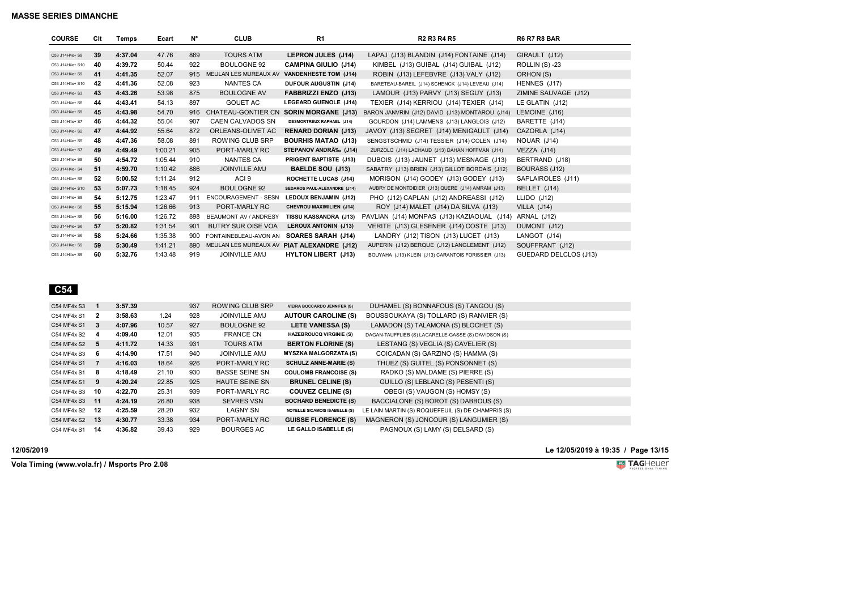| <b>COURSE</b>   | Cit | Temps   | Ecart   | N°  | <b>CLUB</b>                 | R <sub>1</sub>                   | <b>R2 R3 R4 R5</b>                                  | <b>R6 R7 R8 BAR</b>   |
|-----------------|-----|---------|---------|-----|-----------------------------|----------------------------------|-----------------------------------------------------|-----------------------|
|                 |     |         |         |     |                             |                                  |                                                     |                       |
| C53 J14H4x+ S9  | 39  | 4:37.04 | 47.76   | 869 | <b>TOURS ATM</b>            | LEPRON JULES (J14)               | LAPAJ (J13) BLANDIN (J14) FONTAINE (J14)            | GIRAULT (J12)         |
| C53 J14H4x+ S10 | 40  | 4:39.72 | 50.44   | 922 | <b>BOULOGNE 92</b>          | <b>CAMPINA GIULIO (J14)</b>      | KIMBEL (J13) GUIBAL (J14) GUIBAL (J12)              | <b>ROLLIN (S) -23</b> |
| C53 J14H4x+ S9  | 41  | 4:41.35 | 52.07   | 915 | MEULAN LES MUREAUX AV       | <b>VANDENHESTE TOM (J14)</b>     | ROBIN (J13) LEFEBVRE (J13) VALY (J12)               | ORHON (S)             |
| C53 J14H4x+ S10 | 42  | 4:41.36 | 52.08   | 923 | NANTES CA                   | <b>DUFOUR AUGUSTIN (J14)</b>     | BARETEAU-BAREIL (J14) SCHENCK (J14) LEVEAU (J14)    | HENNES (J17)          |
| C53 J14H4x+ S3  | 43  | 4:43.26 | 53.98   | 875 | <b>BOULOGNE AV</b>          | FABBRIZZI ENZO (J13)             | LAMOUR (J13) PARVY (J13) SEGUY (J13)                | ZIMINE SAUVAGE (J12)  |
| C53 J14H4x+ S6  | 44  | 4:43.41 | 54.13   | 897 | <b>GOUET AC</b>             | LEGEARD GUENOLE (J14)            | TEXIER (J14) KERRIOU (J14) TEXIER (J14)             | LE GLATIN (J12)       |
| C53 J14H4x+ S9  | 45  | 4:43.98 | 54.70   | 916 | <b>CHATEAU-GONTIER CN</b>   | <b>SORIN MORGANE (J13)</b>       | BARON JANVRIN (J12) DAVID (J13) MONTAROU (J14)      | LEMOINE (J16)         |
| C53 J14H4x+ S7  | 46  | 4:44.32 | 55.04   | 907 | <b>CAEN CALVADOS SN</b>     | <b>DESMORTREUX RAPHAEL (J14)</b> | GOURDON (J14) LAMMENS (J13) LANGLOIS (J12)          | BARETTE (J14)         |
| C53 J14H4x+ S2  | 47  | 4:44.92 | 55.64   | 872 | ORLEANS-OLIVET AC           | <b>RENARD DORIAN (J13)</b>       | JAVOY (J13) SEGRET (J14) MENIGAULT (J14)            | CAZORLA (J14)         |
| C53 J14H4x+ S5  | 48  | 4:47.36 | 58.08   | 891 | ROWING CLUB SRP             | <b>BOURHIS MATAO (J13)</b>       | SENGSTSCHMID (J14) TESSIER (J14) COLEN (J14)        | NOUAR (J14)           |
| C53 J14H4x+ S7  | 49  | 4:49.49 | 1:00.21 | 905 | PORT-MARLY RC               | STEPANOV ANDRÉ (J14)             | ZURZOLO (J14) LACHAUD (J13) DAHAN HOFFMAN (J14)     | VEZZA (J14)           |
| C53 J14H4x+ S8  | 50  | 4:54.72 | 1:05.44 | 910 | NANTES CA                   | PRIGENT BAPTISTE (J13)           | DUBOIS (J13) JAUNET (J13) MESNAGE (J13)             | BERTRAND (J18)        |
| C53 J14H4x+ S4  | 51  | 4:59.70 | 1:10.42 | 886 | <b>JOINVILLE AMJ</b>        | BAELDE SOU (J13)                 | SABATRY (J13) BRIEN (J13) GILLOT BORDAIS (J12)      | BOURASS (J12)         |
| C53 J14H4x+ S8  | 52  | 5:00.52 | 1:11.24 | 912 | ACI <sub>9</sub>            | <b>ROCHETTE LUCAS (J14)</b>      | MORISON (J14) GODEY (J13) GODEY (J13)               | SAPLAIROLES (J11)     |
| C53 J14H4x+ S10 | 53  | 5:07.73 | 1:18.45 | 924 | <b>BOULOGNE 92</b>          | SEDAROS PAUL-ALEXANDRE (J14)     | AUBRY DE MONTDIDIER (J13) QUERE (J14) AMRAM (J13)   | BELLET (J14)          |
| C53 J14H4x+ S8  | 54  | 5:12.75 | 1:23.47 | 911 | <b>ENCOURAGEMENT - SESN</b> | LEDOUX BENJAMIN (J12)            | PHO (J12) CAPLAN (J12) ANDREASSI (J12)              | $LLIDO$ $(J12)$       |
| C53 J14H4x+ S8  | 55  | 5:15.94 | 1:26.66 | 913 | PORT-MARLY RC               | CHEVROU MAXIMILIEN (J14)         | ROY (J14) MALET (J14) DA SILVA (J13)                | VILLA (J14)           |
| C53 J14H4x+ S6  | 56  | 5:16.00 | 1:26.72 | 898 | BEAUMONT AV / ANDRESY       | TISSU KASSANDRA (J13)            | PAVLIAN (J14) MONPAS (J13) KAZIAOUAL (J14)          | ARNAL (J12)           |
| C53 J14H4x+ S6  | 57  | 5:20.82 | 1:31.54 | 901 | <b>BUTRY SUR OISE VOA</b>   | <b>LEROUX ANTONIN (J13)</b>      | VERITE (J13) GLESENER (J14) COSTE (J13)             | DUMONT (J12)          |
| C53 J14H4x+ S6  | 58  | 5:24.66 | 1:35.38 | 900 | FONTAINEBLEAU-AVON AN       | SOARES SARAH (J14)               | LANDRY (J12) TISON (J13) LUCET (J13)                | LANGOT (J14)          |
| C53 J14H4x+ S9  | 59  | 5:30.49 | 1:41.21 | 890 | MEULAN LES MUREAUX AV       | PIAT ALEXANDRE (J12)             | AUPERIN (J12) BERQUE (J12) LANGLEMENT (J12)         | SOUFFRANT (J12)       |
| C53 J14H4x+ S9  | 60  | 5:32.76 | 1:43.48 | 919 | <b>JOINVILLE AMJ</b>        | <b>HYLTON LIBERT (J13)</b>       | BOUYAHA (J13) KLEIN (J13) CARANTOIS FORISSIER (J13) | GUEDARD DELCLOS (J13) |

 **C54** 

| C54 MF4x S3       |                | 3:57.39 |       | 937 | ROWING CLUB SRP       | <b>VIEIRA BOCCARDO JENNIFER (S)</b>  | DUHAMEL (S) BONNAFOUS (S) TANGOU (S)                 |
|-------------------|----------------|---------|-------|-----|-----------------------|--------------------------------------|------------------------------------------------------|
| C54 MF4x S1       | - 2            | 3:58.63 | 1.24  | 928 | <b>JOINVILLE AMJ</b>  | <b>AUTOUR CAROLINE (S)</b>           | BOUSSOUKAYA (S) TOLLARD (S) RANVIER (S)              |
| C54 MF4x S1       | - 3            | 4:07.96 | 10.57 | 927 | BOULOGNE 92           | <b>LETE VANESSA (S)</b>              | LAMADON (S) TALAMONA (S) BLOCHET (S)                 |
| C54 MF4x S2       | -4             | 4:09.40 | 12.01 | 935 | <b>FRANCE CN</b>      | <b>HAZEBROUCQ VIRGINIE (S)</b>       | DAGAN-TAUFFLIEB (S) LACARELLE-GASSE (S) DAVIDSON (S) |
| $C54$ MF4x S2 $5$ |                | 4:11.72 | 14.33 | 931 | <b>TOURS ATM</b>      | <b>BERTON FLORINE (S)</b>            | LESTANG (S) VEGLIA (S) CAVELIER (S)                  |
| C54 MF4x S3       | - 6            | 4:14.90 | 17.51 | 940 | <b>JOINVILLE AMJ</b>  | <b>MYSZKA MALGORZATA (S)</b>         | COICADAN (S) GARZINO (S) HAMMA (S)                   |
| C54 MF4x S1       | $\overline{7}$ | 4:16.03 | 18.64 | 926 | PORT-MARLY RC         | <b>SCHULZ ANNE-MARIE (S)</b>         | THUEZ (S) GUITEL (S) PONSONNET (S)                   |
| C54 MF4x S1       | - 8            | 4:18.49 | 21.10 | 930 | <b>BASSE SEINE SN</b> | <b>COULOMB FRANCOISE (S)</b>         | RADKO (S) MALDAME (S) PIERRE (S)                     |
| C54 MF4x S1 9     |                | 4:20.24 | 22.85 | 925 | <b>HAUTE SEINE SN</b> | <b>BRUNEL CELINE (S)</b>             | GUILLO (S) LEBLANC (S) PESENTI (S)                   |
| C54 MF4x S3       | 10             | 4:22.70 | 25.31 | 939 | PORT-MARLY RC         | <b>COUVEZ CELINE (S)</b>             | OBEGI (S) VAUGON (S) HOMSY (S)                       |
| C54 MF4x S3 11    |                | 4:24.19 | 26.80 | 938 | <b>SEVRES VSN</b>     | <b>BOCHARD BENEDICTE (S)</b>         | BACCIALONE (S) BOROT (S) DABBOUS (S)                 |
| C54 MF4x S2       | 12             | 4:25.59 | 28.20 | 932 | LAGNY SN              | <b>NOYELLE SICAMOIS ISABELLE (S)</b> | LE LAIN MARTIN (S) ROQUEFEUIL (S) DE CHAMPRIS (S)    |
| C54 MF4x S2 13    |                | 4:30.77 | 33.38 | 934 | PORT-MARLY RC         | <b>GUISSE FLORENCE (S)</b>           | MAGNERON (S) JONCOUR (S) LANGUMIER (S)               |
| C54 MF4x S1       | 14             | 4:36.82 | 39.43 | 929 | BOURGES AC            | LE GALLO ISABELLE (S)                | PAGNOUX (S) LAMY (S) DELSARD (S)                     |

# **12/05/2019 Le 12/05/2019 à 19:35 / Page 13/15**

**Vola Timing (www.vola.fr) / Msports Pro 2.08**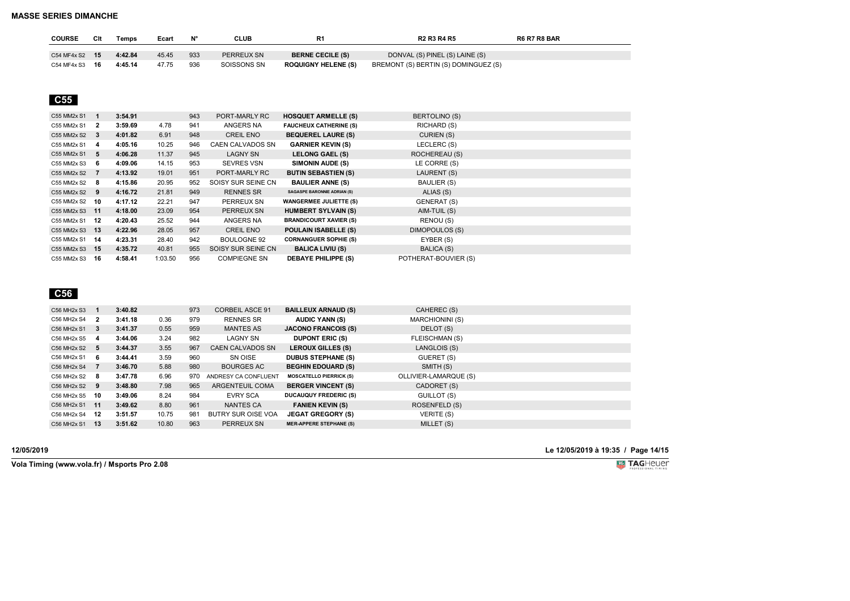| <b>COURSE</b>    | Clt | <b>Temps</b> | Ecart |     | CLUB        | R <sub>1</sub>             | <b>R2 R3 R4 R5</b>                   | <b>R6 R7 R8 BAR</b> |
|------------------|-----|--------------|-------|-----|-------------|----------------------------|--------------------------------------|---------------------|
|                  |     |              |       |     |             |                            |                                      |                     |
| C54 MF4x S2 $15$ |     | 4:42.84      | 45.45 | 933 | PERREUX SN  | <b>BERNE CECILE (S)</b>    | DONVAL (S) PINEL (S) LAINE (S)       |                     |
| C54 MF4x S3 16   |     | 4:45.14      | 47.75 | 936 | SOISSONS SN | <b>ROQUIGNY HELENE (S)</b> | BREMONT (S) BERTIN (S) DOMINGUEZ (S) |                     |

| C55 MM2x S1    | -1             | 3:54.91 |         | 943 | PORT-MARLY RC           | <b>HOSQUET ARMELLE (S)</b>         | <b>BERTOLINO (S)</b> |  |
|----------------|----------------|---------|---------|-----|-------------------------|------------------------------------|----------------------|--|
| C55 MM2x S1    | $\overline{2}$ | 3:59.69 | 4.78    | 941 | ANGERS NA               | <b>FAUCHEUX CATHERINE (S)</b>      | RICHARD (S)          |  |
| C55 MM2x S2    | $_{3}$         | 4:01.82 | 6.91    | 948 | <b>CREIL ENO</b>        | <b>BEQUEREL LAURE (S)</b>          | CURIEN (S)           |  |
| C55 MM2x S1    | 4              | 4:05.16 | 10.25   | 946 | <b>CAEN CALVADOS SN</b> | <b>GARNIER KEVIN (S)</b>           | LECLERC (S)          |  |
| C55 MM2x S1    | 5              | 4:06.28 | 11.37   | 945 | <b>LAGNY SN</b>         | <b>LELONG GAEL (S)</b>             | ROCHEREAU (S)        |  |
| C55 MM2x S3    | -6             | 4:09.06 | 14.15   | 953 | <b>SEVRES VSN</b>       | SIMONIN AUDE (S)                   | LE CORRE (S)         |  |
| C55 MM2x S2    | $\overline{7}$ | 4:13.92 | 19.01   | 951 | PORT-MARLY RC           | <b>BUTIN SEBASTIEN (S)</b>         | LAURENT (S)          |  |
| C55 MM2x S2    | - 8            | 4:15.86 | 20.95   | 952 | SOISY SUR SEINE CN      | <b>BAULIER ANNE (S)</b>            | BAULIER (S)          |  |
| C55 MM2x S2 9  |                | 4:16.72 | 21.81   | 949 | <b>RENNES SR</b>        | <b>SAGASPE BARONNIE ADRIAN (S)</b> | ALIAS (S)            |  |
| C55 MM2x S2    | 10             | 4:17.12 | 22.21   | 947 | PERREUX SN              | <b>WANGERMEE JULIETTE (S)</b>      | GENERAT (S)          |  |
| C55 MM2x S3 11 |                | 4:18.00 | 23.09   | 954 | PERREUX SN              | <b>HUMBERT SYLVAIN (S)</b>         | AIM-TUIL (S)         |  |
| C55 MM2x S1    | -12            | 4:20.43 | 25.52   | 944 | ANGERS NA               | <b>BRANDICOURT XAVIER (S)</b>      | RENOU (S)            |  |
| C55 MM2x S3    | - 13           | 4:22.96 | 28.05   | 957 | <b>CREIL ENO</b>        | <b>POULAIN ISABELLE (S)</b>        | DIMOPOULOS (S)       |  |
| C55 MM2x S1    | -14            | 4:23.31 | 28.40   | 942 | BOULOGNE 92             | <b>CORNANGUER SOPHIE (S)</b>       | EYBER (S)            |  |
| C55 MM2x S3 15 |                | 4:35.72 | 40.81   | 955 | SOISY SUR SEINE CN      | <b>BALICA LIVIU (S)</b>            | BALICA (S)           |  |
| C55 MM2x S3    | 16             | 4:58.41 | 1:03.50 | 956 | <b>COMPIEGNE SN</b>     | <b>DEBAYE PHILIPPE (S)</b>         | POTHERAT-BOUVIER (S) |  |

 **C56** 

| C56 MH2x S3 |                | 3:40.82 |       | 973 | <b>CORBEIL ASCE 91</b>  | <b>BAILLEUX ARNAUD (S)</b>     | CAHEREC (S)            |
|-------------|----------------|---------|-------|-----|-------------------------|--------------------------------|------------------------|
| C56 MH2x S4 | $\overline{2}$ | 3:41.18 | 0.36  | 979 | <b>RENNES SR</b>        | <b>AUDIC YANN (S)</b>          | <b>MARCHIONINI (S)</b> |
| C56 MH2x S1 | 3              | 3:41.37 | 0.55  | 959 | <b>MANTES AS</b>        | <b>JACONO FRANCOIS (S)</b>     | DELOT (S)              |
| C56 MH2x S5 | 4              | 3:44.06 | 3.24  | 982 | <b>LAGNY SN</b>         | <b>DUPONT ERIC (S)</b>         | <b>FLEISCHMAN (S)</b>  |
| C56 MH2x S2 | 5              | 3:44.37 | 3.55  | 967 | <b>CAEN CALVADOS SN</b> | <b>LEROUX GILLES (S)</b>       | LANGLOIS (S)           |
| C56 MH2x S1 | 6              | 3:44.41 | 3.59  | 960 | SN OISE                 | <b>DUBUS STEPHANE (S)</b>      | GUERET (S)             |
| C56 MH2x S4 |                | 3:46.70 | 5.88  | 980 | <b>BOURGES AC</b>       | <b>BEGHIN EDOUARD (S)</b>      | SMITH (S)              |
| C56 MH2x S2 | 8              | 3:47.78 | 6.96  | 970 | ANDRESY CA CONFLUENT    | <b>MOSCATELLO PIERRICK (S)</b> | OLLIVIER-LAMARQUE (S)  |
| C56 MH2x S2 | 9              | 3:48.80 | 7.98  | 965 | ARGENTEUIL COMA         | <b>BERGER VINCENT (S)</b>      | CADORET (S)            |
| C56 MH2x S5 | 10             | 3:49.06 | 8.24  | 984 | <b>EVRY SCA</b>         | <b>DUCAUQUY FREDERIC (S)</b>   | GUILLOT (S)            |
| C56 MH2x S1 | 11             | 3:49.62 | 8.80  | 961 | NANTES CA               | <b>FANIEN KEVIN (S)</b>        | ROSENFELD (S)          |
| C56 MH2x S4 | 12             | 3:51.57 | 10.75 | 981 | BUTRY SUR OISE VOA      | <b>JEGAT GREGORY (S)</b>       | VERITE (S)             |
| C56 MH2x S1 | 13             | 3:51.62 | 10.80 | 963 | PERREUX SN              | <b>MER-APPERE STEPHANE (S)</b> | MILLET (S)             |
|             |                |         |       |     |                         |                                |                        |

**12/05/2019 Le 12/05/2019 à 19:35 / Page 14/15**

**Vola Timing (www.vola.fr) / Msports Pro 2.08**